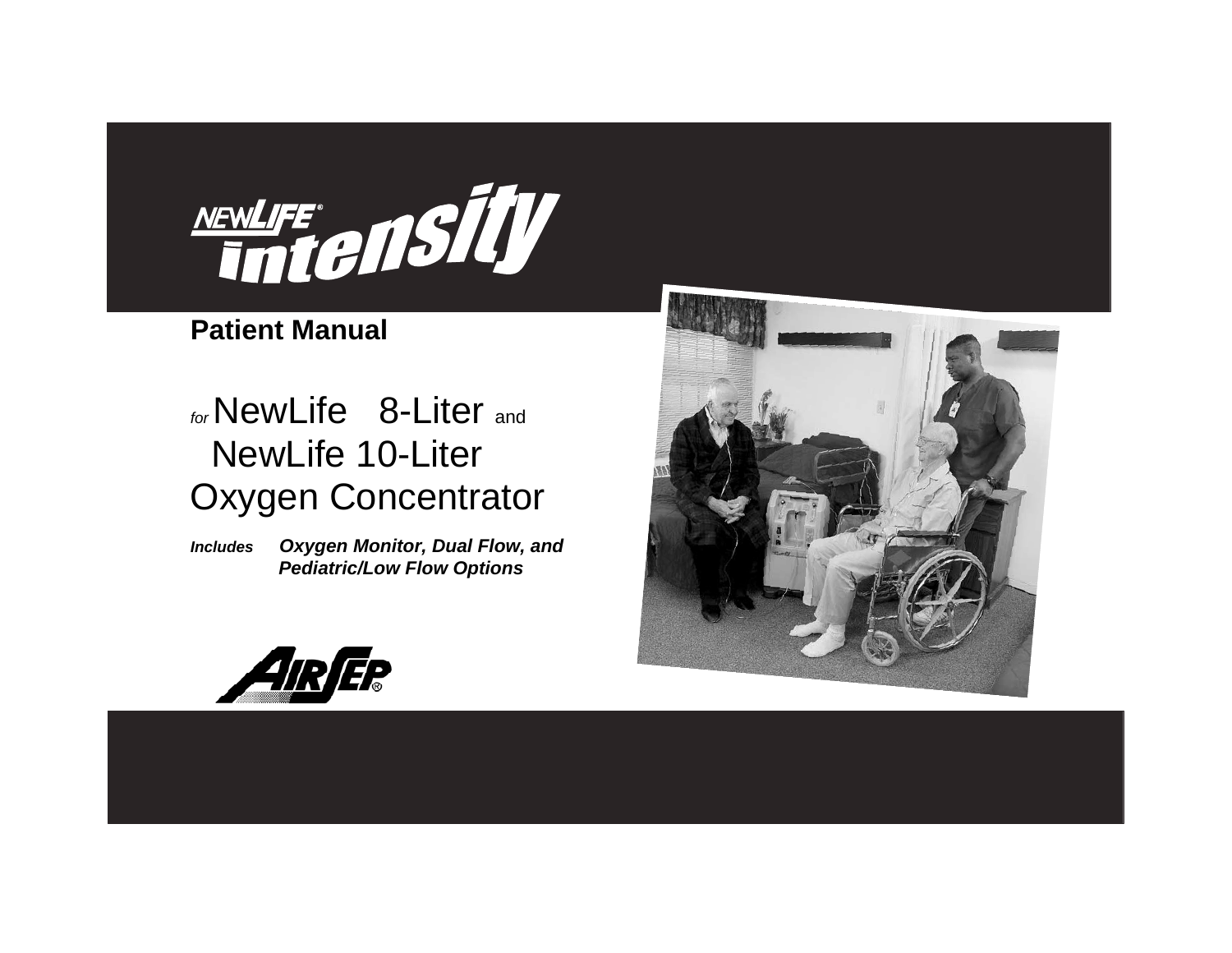

## **Patient Manual**

# *for* NewLife 8-Liter and NewLife 10-Liter Oxygen Concentrator

*Includes Oxygen Monitor, Dual Flow, and Pediatric/Low Flow Options*



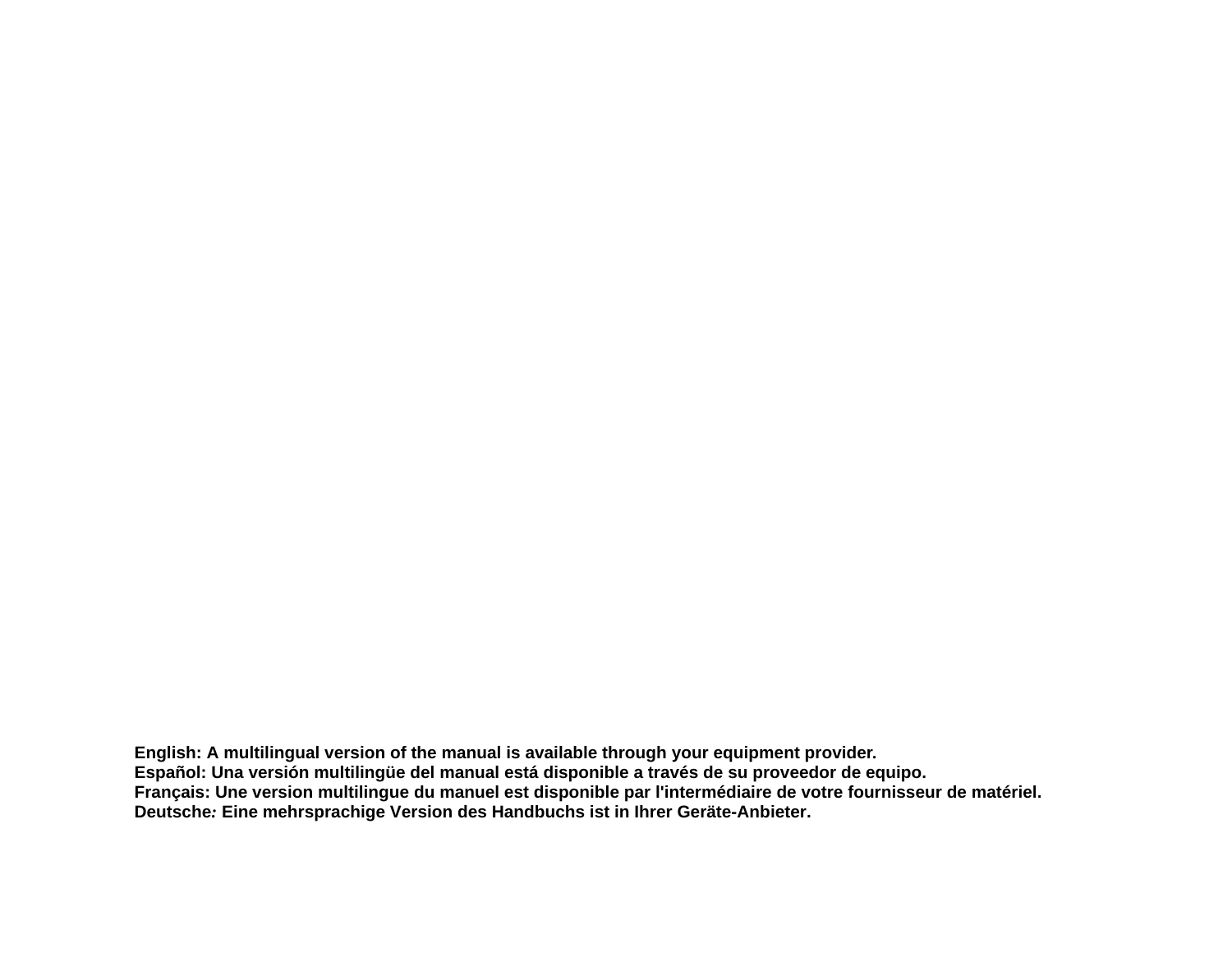**English: A multilingual version of the manual is available through your equipment provider***.*  **Español: Una versión multilingüe del manual está disponible a través de su proveedor de equipo. Français: Une version multilingue du manuel est disponible par l'intermédiaire de votre fournisseur de matériel. Deutsche***:* **Eine mehrsprachige Version des Handbuchs ist in Ihrer Geräte-Anbieter.**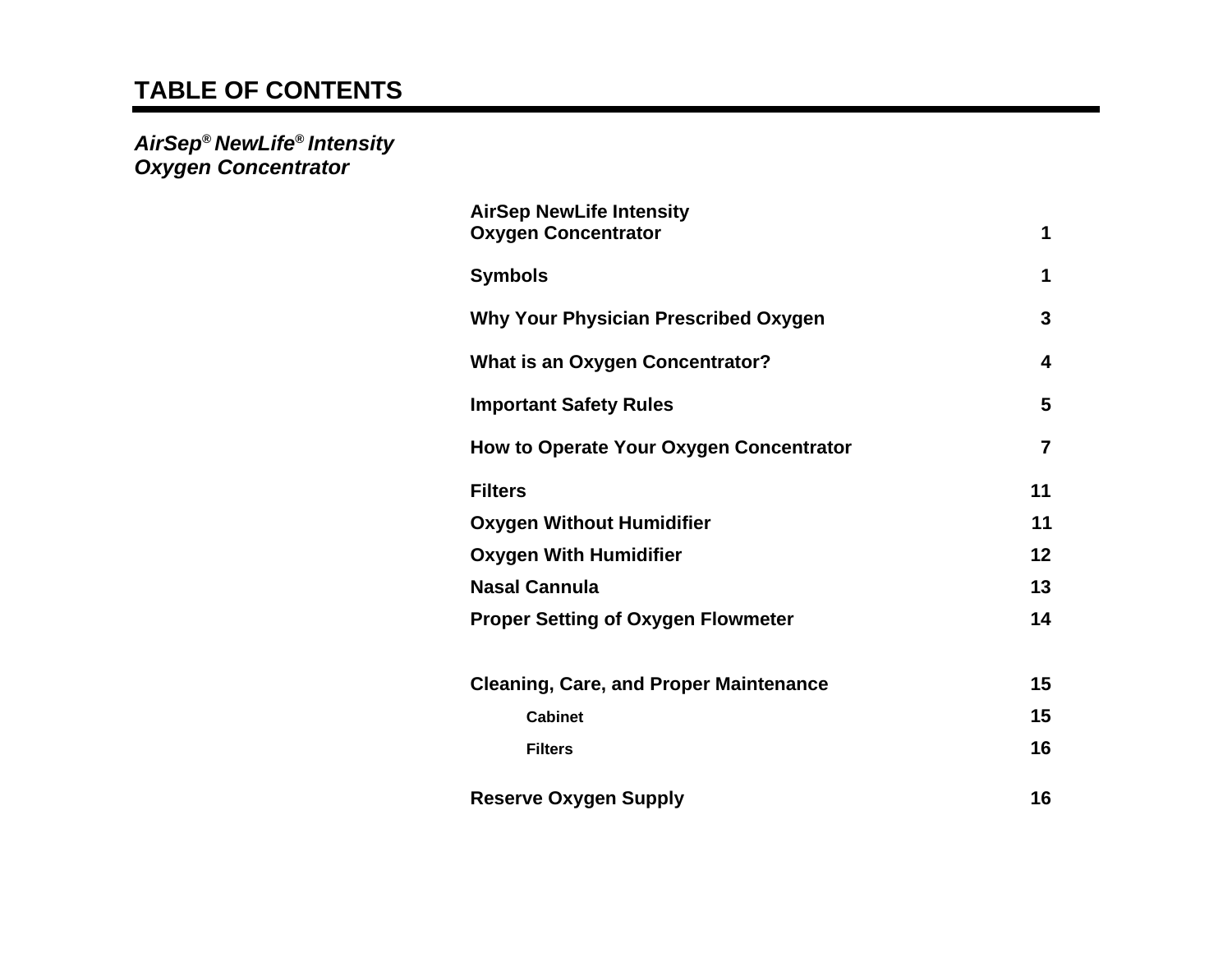## **TABLE OF CONTENTS**

*AirSep***®** *NewLife***®** *Intensity Oxygen Concentrator* 

| <b>AirSep NewLife Intensity</b><br><b>Oxygen Concentrator</b> | 1              |
|---------------------------------------------------------------|----------------|
| <b>Symbols</b>                                                | 1              |
| <b>Why Your Physician Prescribed Oxygen</b>                   | 3              |
| <b>What is an Oxygen Concentrator?</b>                        | 4              |
| <b>Important Safety Rules</b>                                 | 5              |
| How to Operate Your Oxygen Concentrator                       | $\overline{7}$ |
| <b>Filters</b>                                                | 11             |
| <b>Oxygen Without Humidifier</b>                              | 11             |
| <b>Oxygen With Humidifier</b>                                 | 12             |
| <b>Nasal Cannula</b>                                          | 13             |
| <b>Proper Setting of Oxygen Flowmeter</b>                     | 14             |
| <b>Cleaning, Care, and Proper Maintenance</b>                 | 15             |
| <b>Cabinet</b>                                                | 15             |
| <b>Filters</b>                                                | 16             |
| <b>Reserve Oxygen Supply</b>                                  | 16             |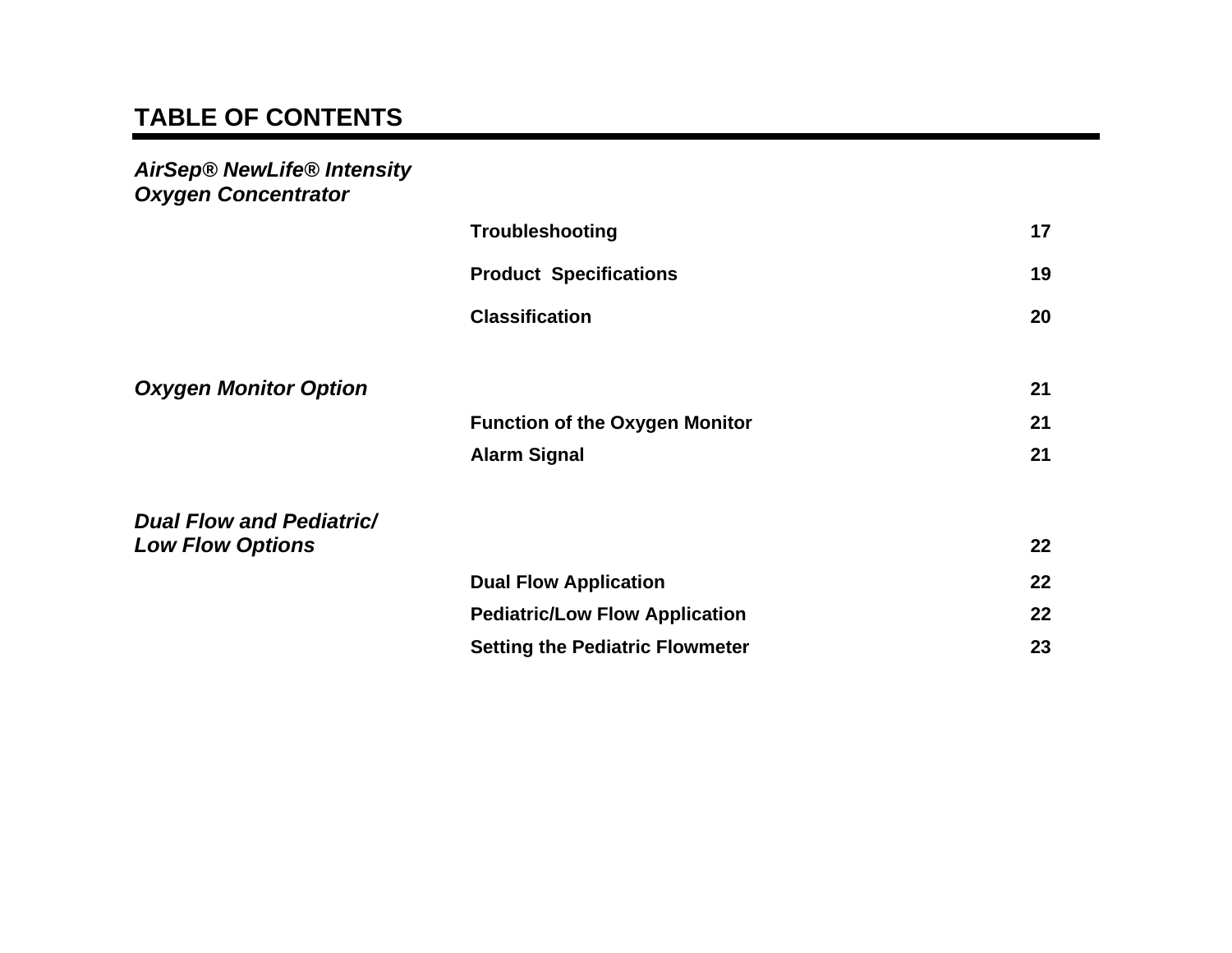## **TABLE OF CONTENTS**

*AirSep® NewLife® Intensity Oxygen Concentrator* 

|                                 | <b>Troubleshooting</b>                 | 17      |
|---------------------------------|----------------------------------------|---------|
|                                 | <b>Product Specifications</b>          | 19      |
|                                 | <b>Classification</b>                  | 20      |
|                                 |                                        |         |
| <b>Oxygen Monitor Option</b>    |                                        | 21      |
|                                 | <b>Function of the Oxygen Monitor</b>  | 21      |
|                                 | <b>Alarm Signal</b>                    | 21      |
| <b>Dual Flow and Pediatric/</b> |                                        |         |
| <b>Low Flow Options</b>         |                                        | $22 \,$ |
|                                 | <b>Dual Flow Application</b>           | 22      |
|                                 | <b>Pediatric/Low Flow Application</b>  | 22      |
|                                 | <b>Setting the Pediatric Flowmeter</b> | 23      |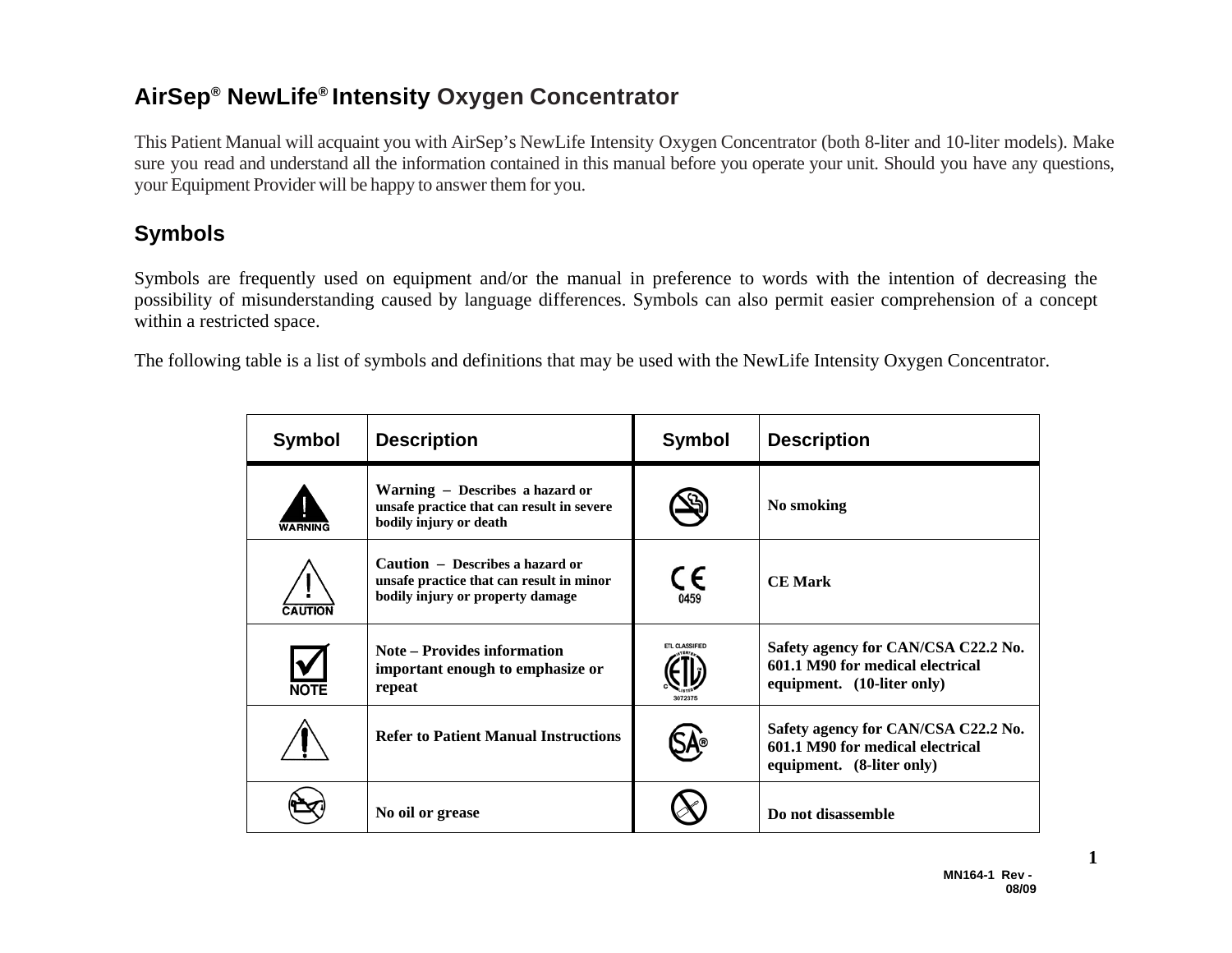## **AirSep ® NewLife® Intensity Oxygen Concentrator**

This Patient Manual will acquaint you with AirSep's NewLife Intensity Oxygen Concentrator (both 8-liter and 10-liter models). Make sure you read and understand all the information contained in this manual before you operate your unit. Should you have any questions, your Equipment Provider will be happy to answer them for you.

## **Symbols**

Symbols are frequently used on equipment and/or the manual in preference to words with the intention of decreasing the possibility of misunderstanding caused by language differences. Symbols can also permit easier comprehension of a concept within a restricted space.

The following table is a list of symbols and definitions that may be used with the NewLife Intensity Oxygen Concentrator.

| <b>Symbol</b>  | <b>Description</b>                                                                                              | <b>Symbol</b>                      | <b>Description</b>                                                                                    |
|----------------|-----------------------------------------------------------------------------------------------------------------|------------------------------------|-------------------------------------------------------------------------------------------------------|
| WARNING        | Warning – Describes a hazard or<br>unsafe practice that can result in severe<br>bodily injury or death          |                                    | No smoking                                                                                            |
| <b>CAUTION</b> | Caution - Describes a hazard or<br>unsafe practice that can result in minor<br>bodily injury or property damage | $\mathsf{C}_{\mathsf{\tiny G459}}$ | <b>CE Mark</b>                                                                                        |
| <b>NOTE</b>    | <b>Note – Provides information</b><br>important enough to emphasize or<br>repeat                                | ETL CLASSIFIED<br>3072375          | Safety agency for CAN/CSA C22.2 No.<br>601.1 M90 for medical electrical<br>equipment. (10-liter only) |
|                | <b>Refer to Patient Manual Instructions</b>                                                                     |                                    | Safety agency for CAN/CSA C22.2 No.<br>601.1 M90 for medical electrical<br>equipment. (8-liter only)  |
|                | No oil or grease                                                                                                |                                    | Do not disassemble                                                                                    |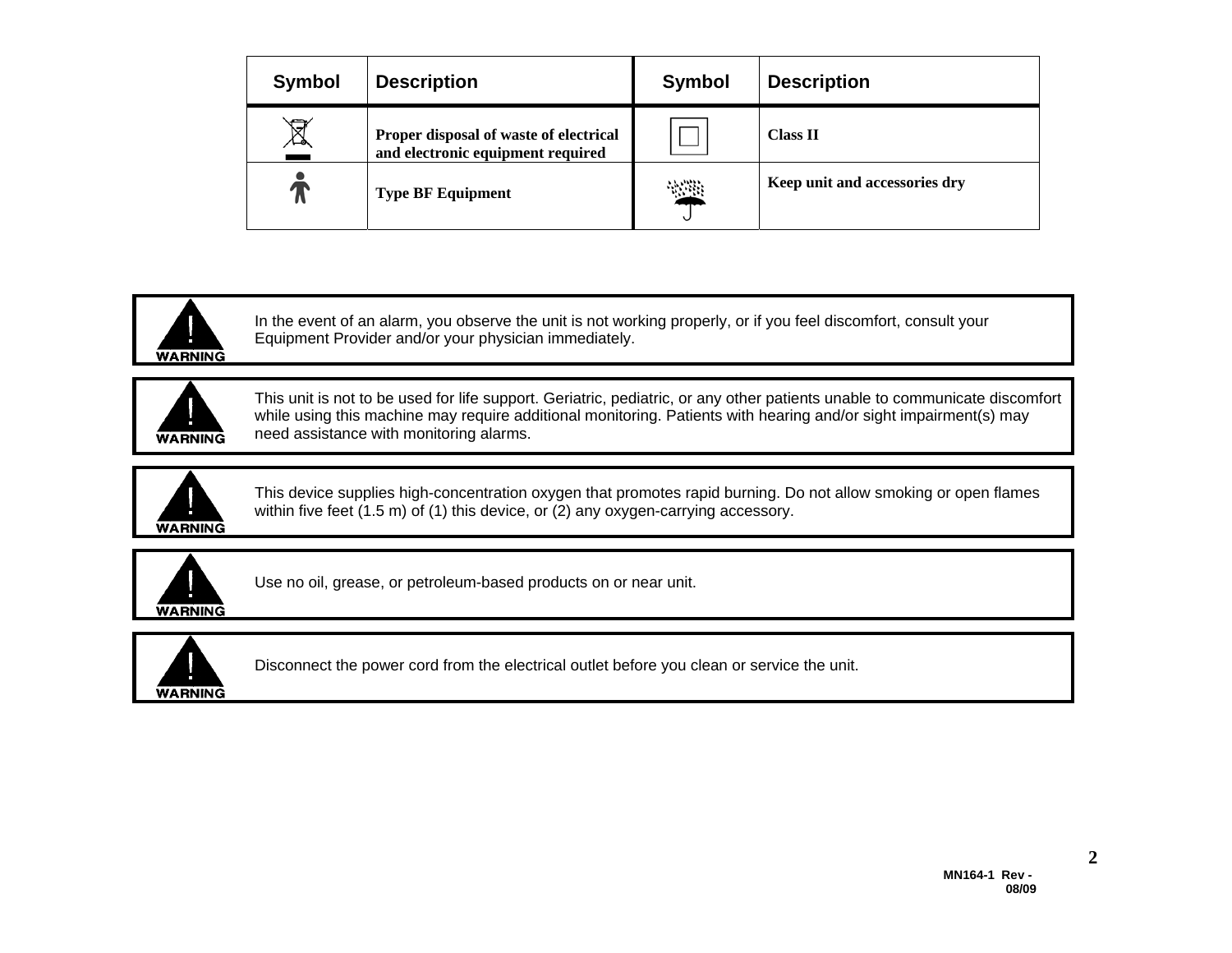| <b>Symbol</b> | <b>Description</b>                                                          | <b>Symbol</b> | <b>Description</b>            |
|---------------|-----------------------------------------------------------------------------|---------------|-------------------------------|
| Ā             | Proper disposal of waste of electrical<br>and electronic equipment required |               | <b>Class II</b>               |
|               | <b>Type BF Equipment</b>                                                    | 冷滞            | Keep unit and accessories dry |



In the event of an alarm, you observe the unit is not working properly, or if you feel discomfort, consult your Equipment Provider and/or your physician immediately.



This unit is not to be used for life support. Geriatric, pediatric, or any other patients unable to communicate discomfort while using this machine may require additional monitoring. Patients with hearing and/or sight impairment(s) may need assistance with monitoring alarms.



This device supplies high-concentration oxygen that promotes rapid burning. Do not allow smoking or open flames within five feet (1.5 m) of (1) this device, or (2) any oxygen-carrying accessory.



Use no oil, grease, or petroleum-based products on or near unit.



Disconnect the power cord from the electrical outlet before you clean or service the unit.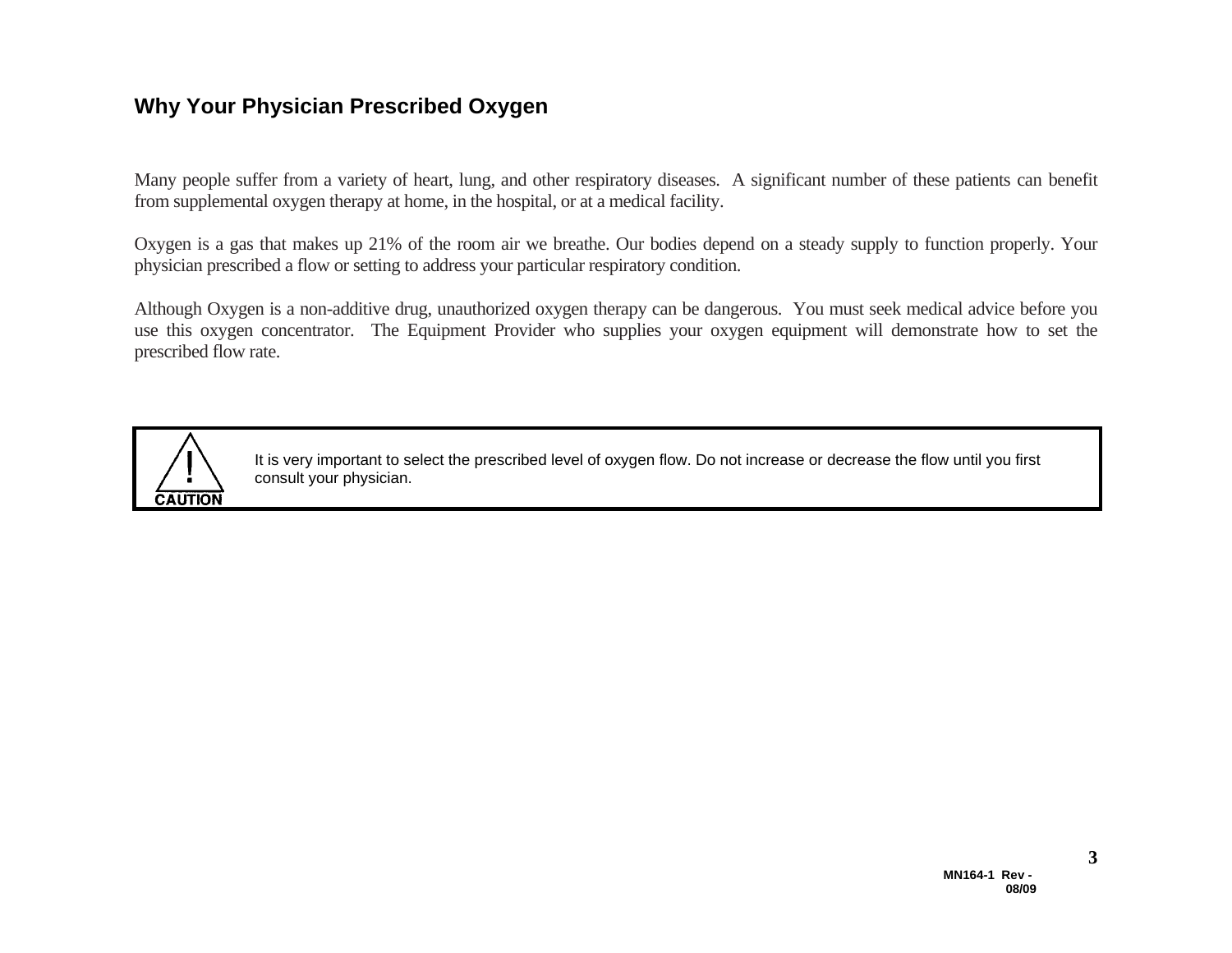#### **Why Your Physician Prescribed Oxygen**

Many people suffer from a variety of heart, lung, and other respiratory diseases. A significant number of these patients can benefit from supplemental oxygen therapy at home, in the hospital, or at a medical facility.

Oxygen is a gas that makes up 21% of the room air we breathe. Our bodies depend on a steady supply to function properly. Your physician prescribed a flow or setting to address your particular respiratory condition.

Although Oxygen is a non-additive drug, unauthorized oxygen therapy can be dangerous. You must seek medical advice before you use this oxygen concentrator. The Equipment Provider who supplies your oxygen equipment will demonstrate how to set the prescribed flow rate.



It is very important to select the prescribed level of oxygen flow. Do not increase or decrease the flow until you first consult your physician.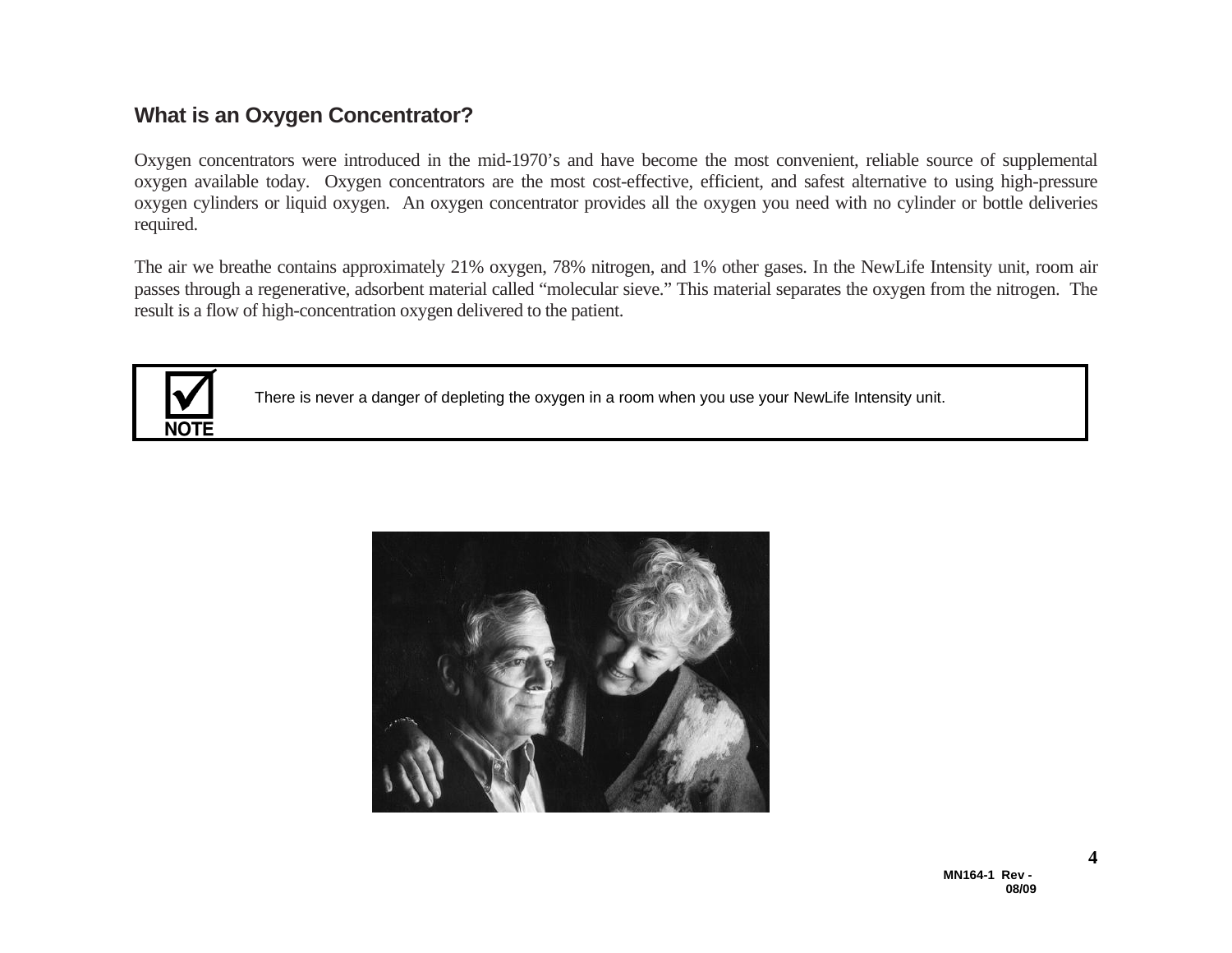## **What is an Oxygen Concentrator?**

Oxygen concentrators were introduced in the mid-1970's and have become the most convenient, reliable source of supplemental oxygen available today. Oxygen concentrators are the most cost-effective, efficient, and safest alternative to using high-pressure oxygen cylinders or liquid oxygen. An oxygen concentrator provides all the oxygen you need with no cylinder or bottle deliveries required.

The air we breathe contains approximately 21% oxygen, 78% nitrogen, and 1% other gases. In the NewLife Intensity unit, room air passes through a regenerative, adsorbent material called "molecular sieve." This material separates the oxygen from the nitrogen. The result is a flow of high-concentration oxygen delivered to the patient.



There is never a danger of depleting the oxygen in a room when you use your NewLife Intensity unit.

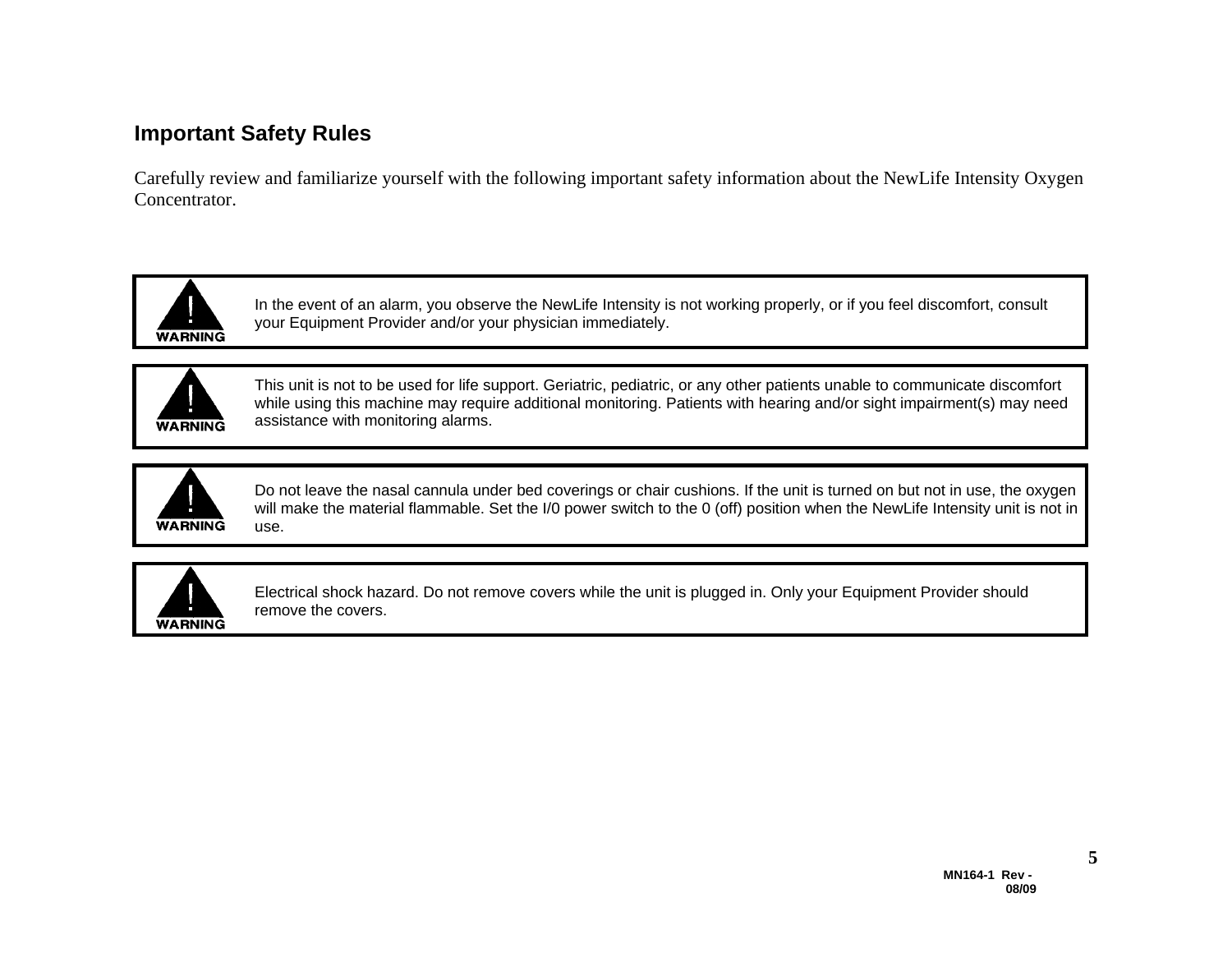## **Important Safety Rules**

Carefully review and familiarize yourself with the following important safety information about the NewLife Intensity Oxygen Concentrator.



In the event of an alarm, you observe the NewLife Intensity is not working properly, or if you feel discomfort, consult your Equipment Provider and/or your physician immediately.



This unit is not to be used for life support. Geriatric, pediatric, or any other patients unable to communicate discomfort while using this machine may require additional monitoring. Patients with hearing and/or sight impairment(s) may need assistance with monitoring alarms.



Do not leave the nasal cannula under bed coverings or chair cushions. If the unit is turned on but not in use, the oxygen will make the material flammable. Set the I/0 power switch to the 0 (off) position when the NewLife Intensity unit is not in use.



Electrical shock hazard. Do not remove covers while the unit is plugged in. Only your Equipment Provider should remove the covers.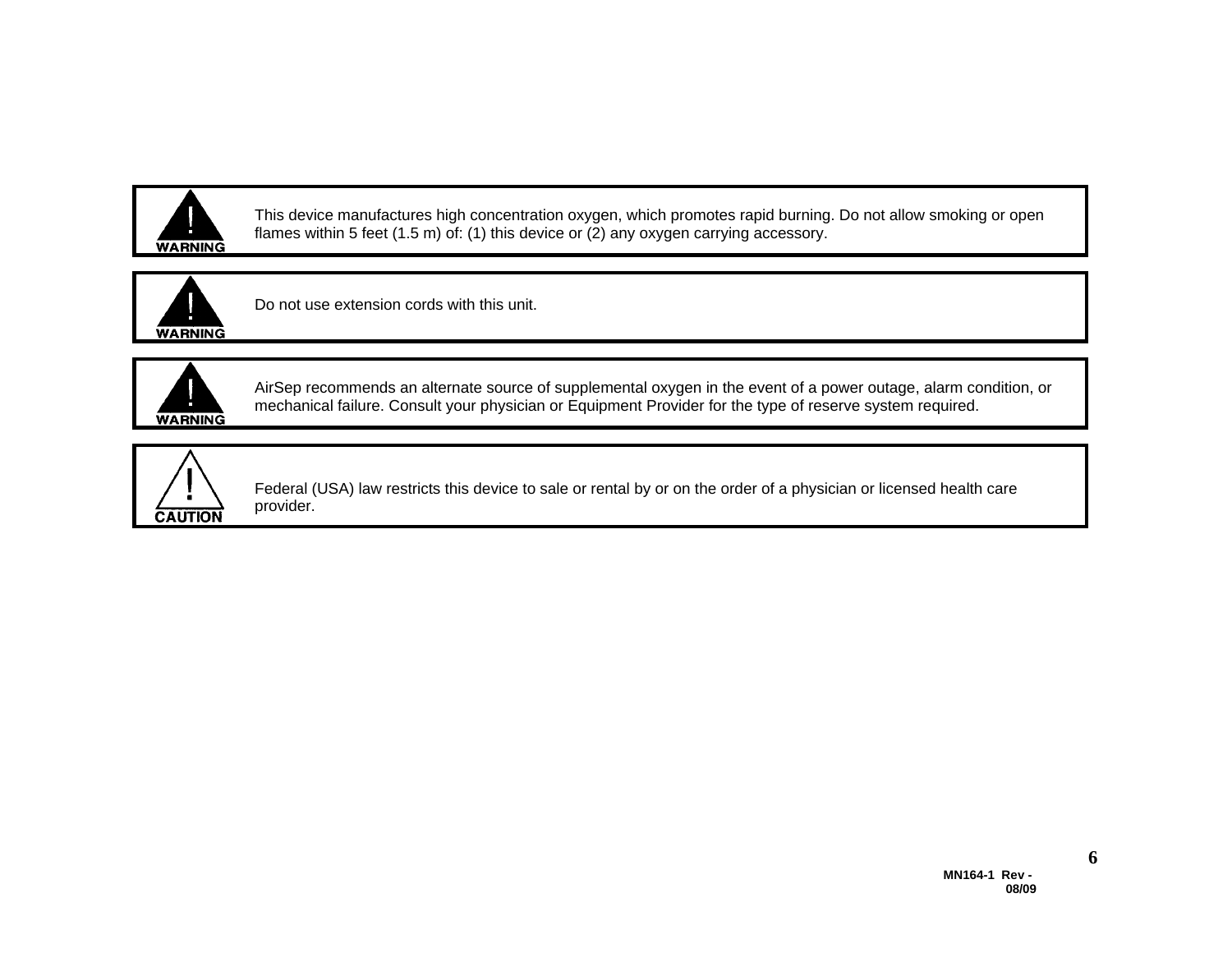

This device manufactures high concentration oxygen, which promotes rapid burning. Do not allow smoking or open flames within 5 feet (1.5 m) of: (1) this device or  $(2)$  any oxygen carrying accessory.



Do not use extension cords with this unit.



AirSep recommends an alternate source of supplemental oxygen in the event of a power outage, alarm condition, or mechanical failure. Consult your physician or Equipment Provider for the type of reserve system required.



Federal (USA) law restricts this device to sale or rental by or on the order of a physician or licensed health care provider.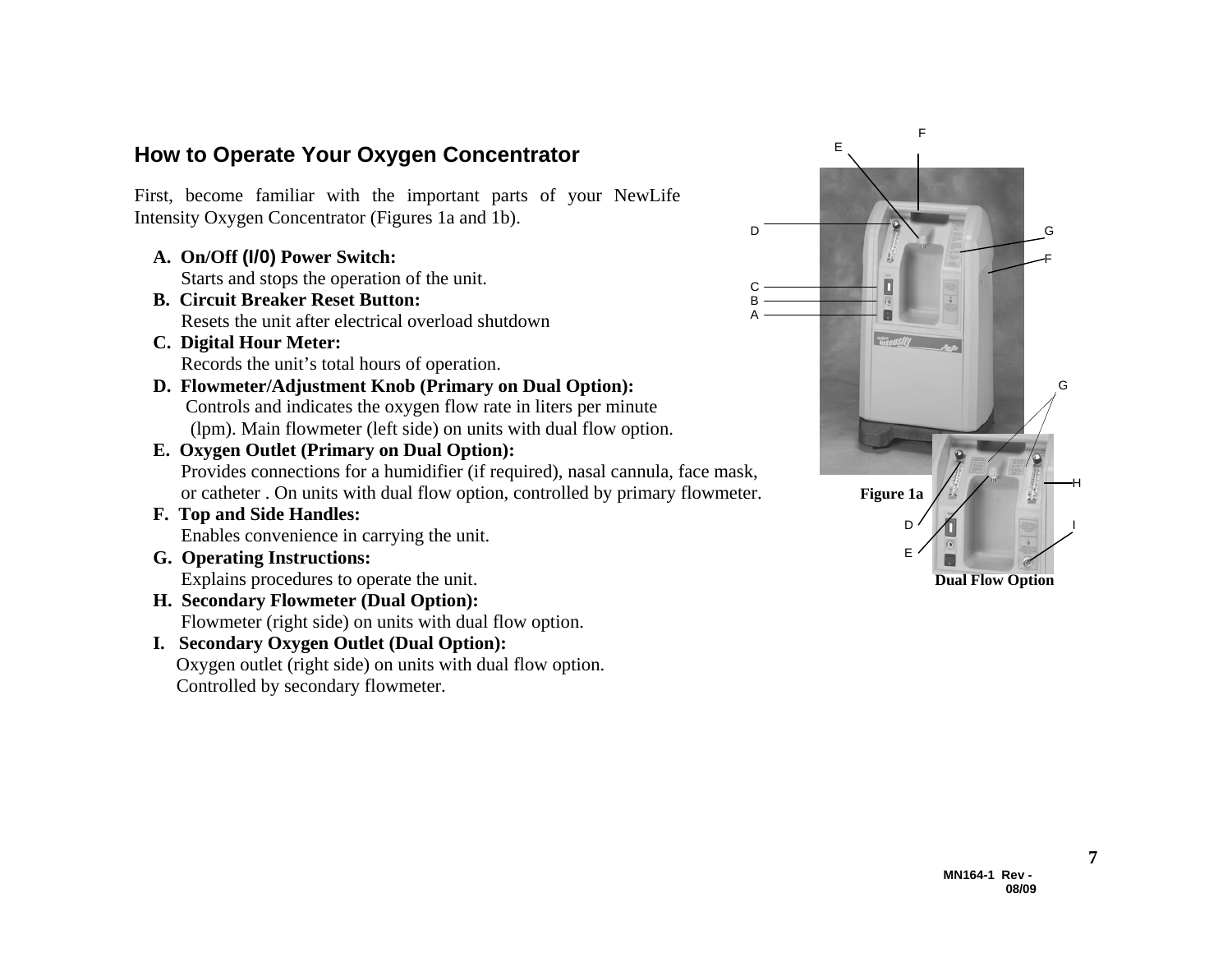#### **How to Operate Your Oxygen Concentrator**

First, become familiar with the important parts of your NewLife Intensity Oxygen Concentrator (Figures 1a and 1b).

 **A. On/Off (I/0) Power Switch:** 

Starts and stops the operation of the unit.

- **B. Circuit Breaker Reset Button:** Resets the unit after electrical overload shutdown
- **C. Digital Hour Meter:**  Records the unit's total hours of operation.
- **D. Flowmeter/Adjustment Knob (Primary on Dual Option):**  Controls and indicates the oxygen flow rate in liters per minute (lpm). Main flowmeter (left side) on units with dual flow option.
- **E. Oxygen Outlet (Primary on Dual Option):**  Provides connections for a humidifier (if required), nasal cannula, face mask, or catheter . On units with dual flow option, controlled by primary flowmeter. **Figure 1a**
- **F. Top and Side Handles:**  Enables convenience in carrying the unit.
- **G. Operating Instructions:**
- **H. Secondary Flowmeter (Dual Option):**  Flowmeter (right side) on units with dual flow option.
- **I. Secondary Oxygen Outlet (Dual Option):**  Oxygen outlet (right side) on units with dual flow option. Controlled by secondary flowmeter.



D

C BA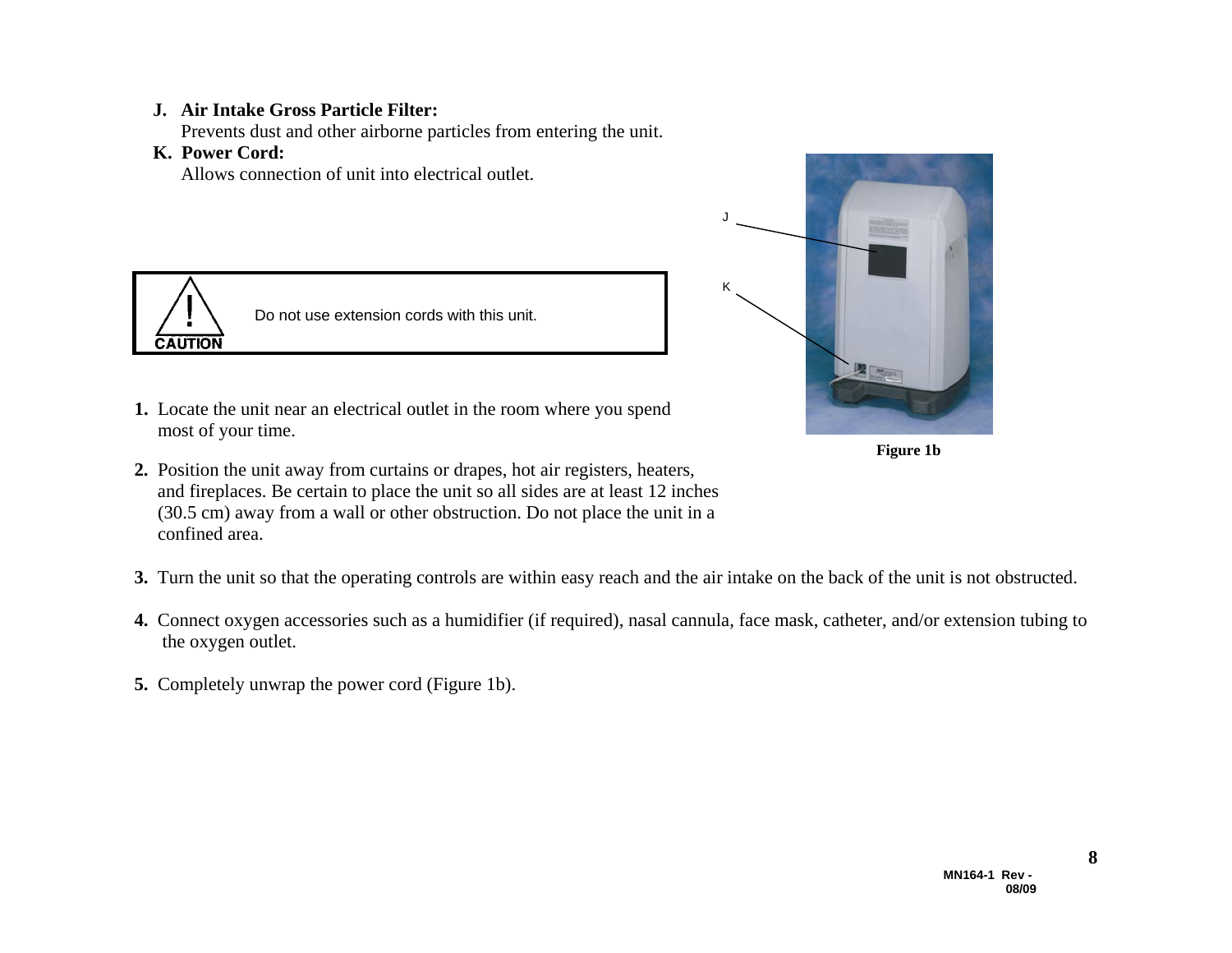#### **J. Air Intake Gross Particle Filter:**

Prevents dust and other airborne particles from entering the unit.

#### **K. Power Cord:**

Allows connection of unit into electrical outlet.



Do not use extension cords with this unit.

- **1.** Locate the unit near an electrical outlet in the room where you spend most of your time.
- **2.** Position the unit away from curtains or drapes, hot air registers, heaters, and fireplaces. Be certain to place the unit so all sides are at least 12 inches (30.5 cm) away from a wall or other obstruction. Do not place the unit in a confined area.
- **3.** Turn the unit so that the operating controls are within easy reach and the air intake on the back of the unit is not obstructed.
- **4.** Connect oxygen accessories such as a humidifier (if required), nasal cannula, face mask, catheter, and/or extension tubing to the oxygen outlet.
- **5.** Completely unwrap the power cord (Figure 1b).



J

K

**Figure 1b**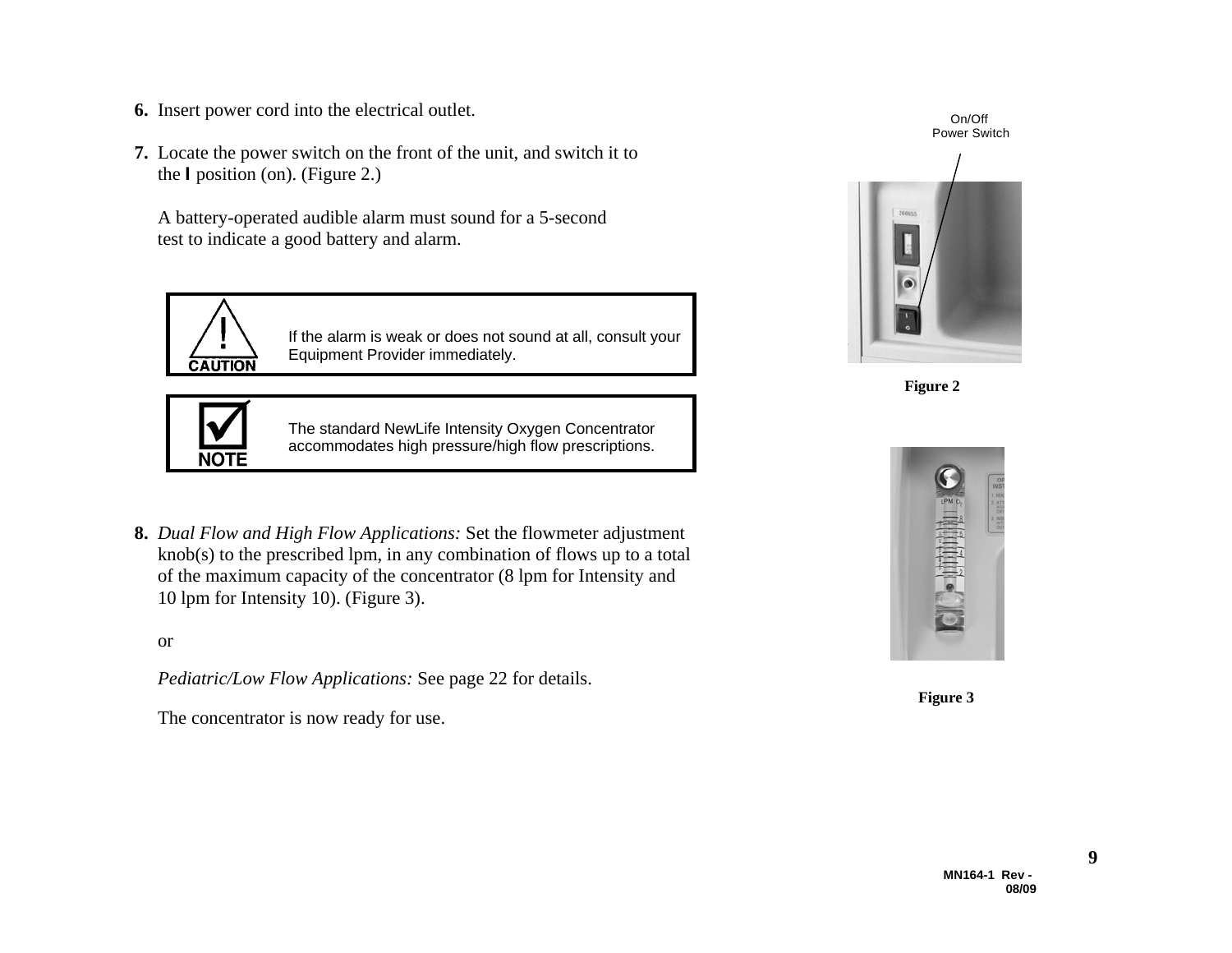- **6.** Insert power cord into the electrical outlet.
- **7.** Locate the power switch on the front of the unit, and switch it to the **I** position (on). (Figure 2.)

 A battery-operated audible alarm must sound for a 5-second test to indicate a good battery and alarm.



If the alarm is weak or does not sound at all, consult your Equipment Provider immediately.



The standard NewLife Intensity Oxygen Concentrator accommodates high pressure/high flow prescriptions.

**8.** *Dual Flow and High Flow Applications:* Set the flowmeter adjustment knob(s) to the prescribed lpm, in any combination of flows up to a total of the maximum capacity of the concentrator (8 lpm for Intensity and 10 lpm for Intensity 10). (Figure 3).

or

*Pediatric/Low Flow Applications:* See page 22 for details.

The concentrator is now ready for use.





**Figure 2** 



**Figure 3**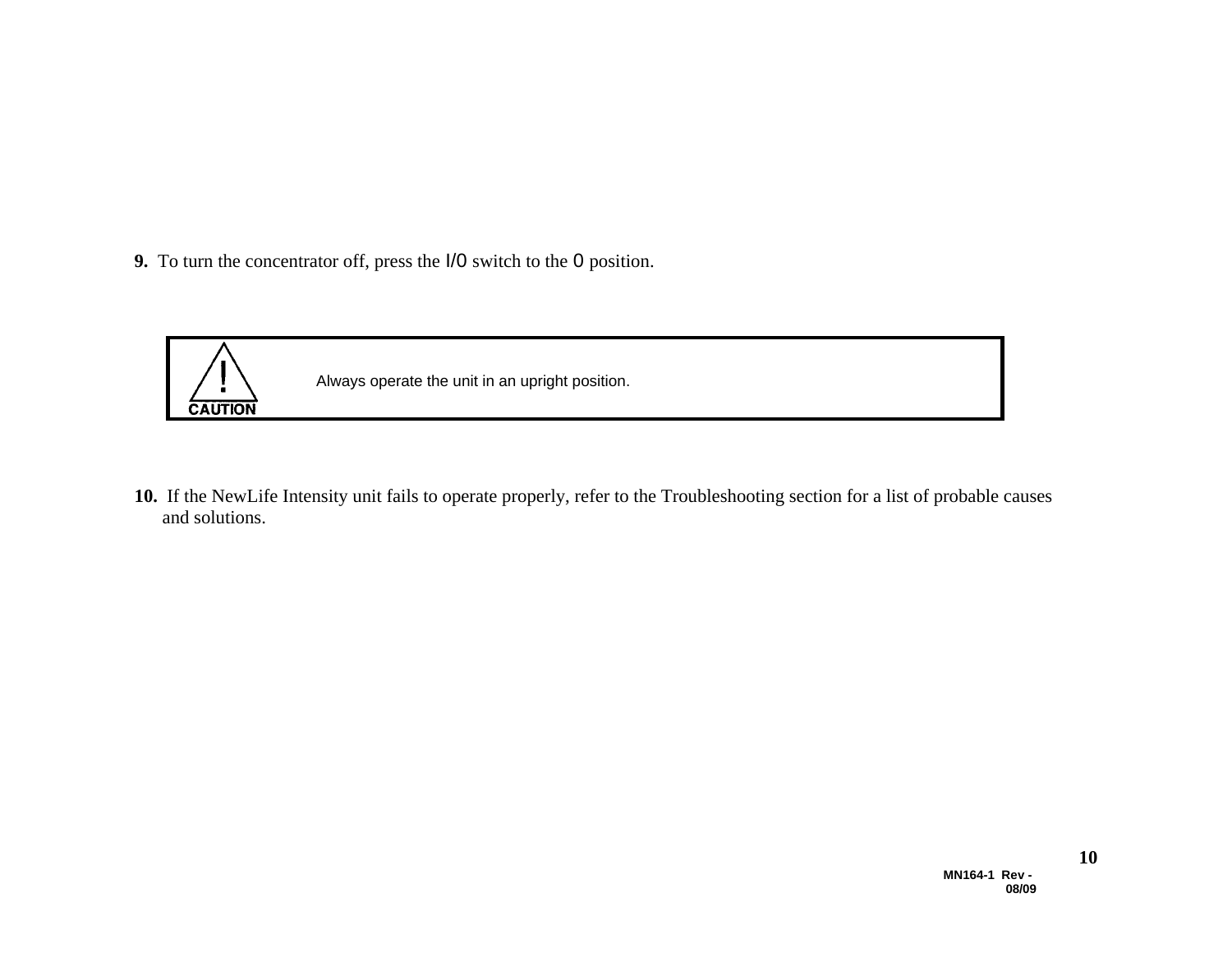**9.** To turn the concentrator off, press the I/0 switch to the 0 position.



**10.** If the NewLife Intensity unit fails to operate properly, refer to the Troubleshooting section for a list of probable causes and solutions.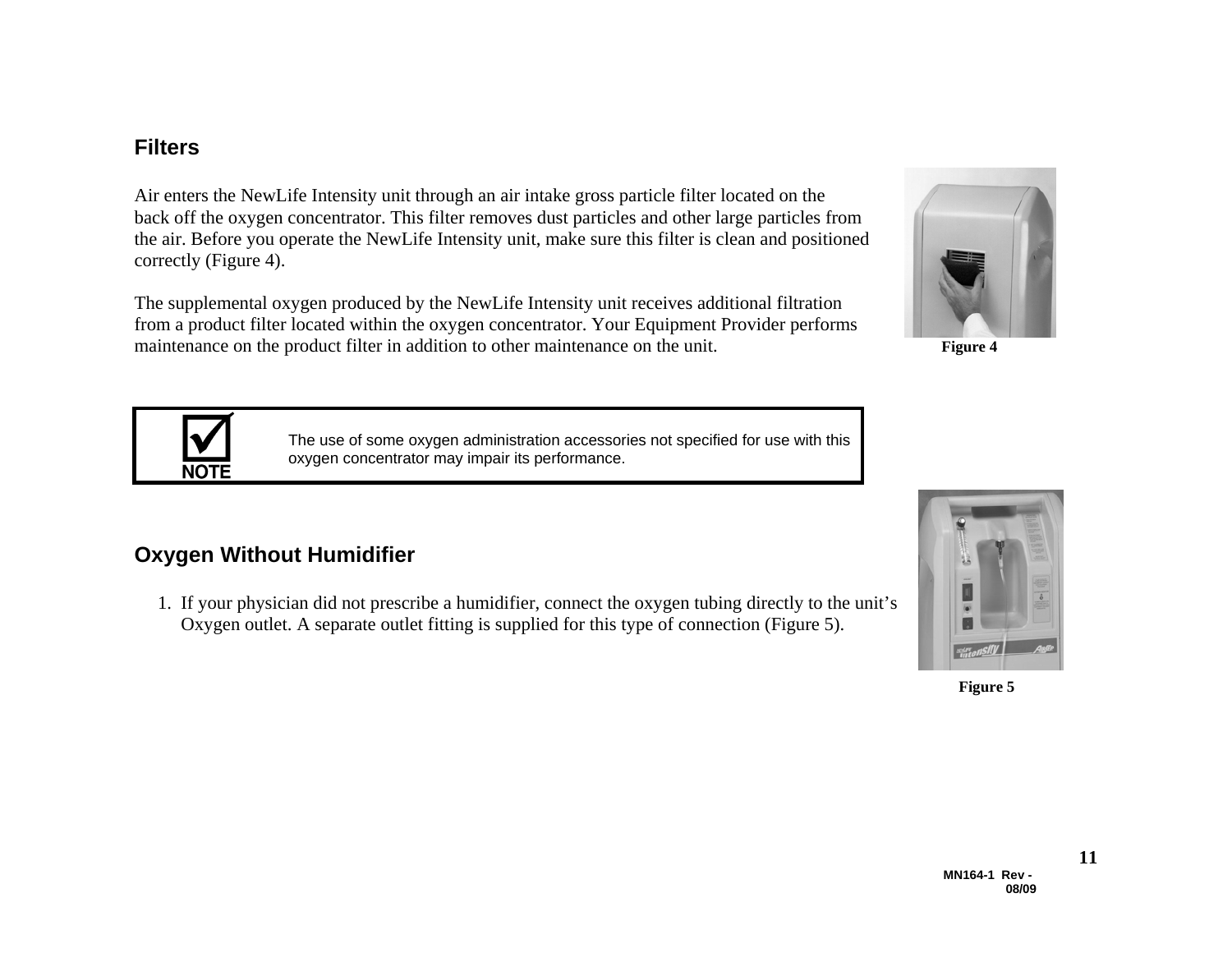#### **Filters**

Air enters the NewLife Intensity unit through an air intake gross particle filter located on the back off the oxygen concentrator. This filter removes dust particles and other large particles from the air. Before you operate the NewLife Intensity unit, make sure this filter is clean and positioned correctly (Figure 4).

The supplemental oxygen produced by the NewLife Intensity unit receives additional filtration from a product filter located within the oxygen concentrator. Your Equipment Provider performs maintenance on the product filter in addition to other maintenance on the unit.

> The use of some oxygen administration accessories not specified for use with this oxygen concentrator may impair its performance.

## **Oxygen Without Humidifier**

NO1

 1. If your physician did not prescribe a humidifier, connect the oxygen tubing directly to the unit's Oxygen outlet. A separate outlet fitting is supplied for this type of connection (Figure 5).







 **Figure 5**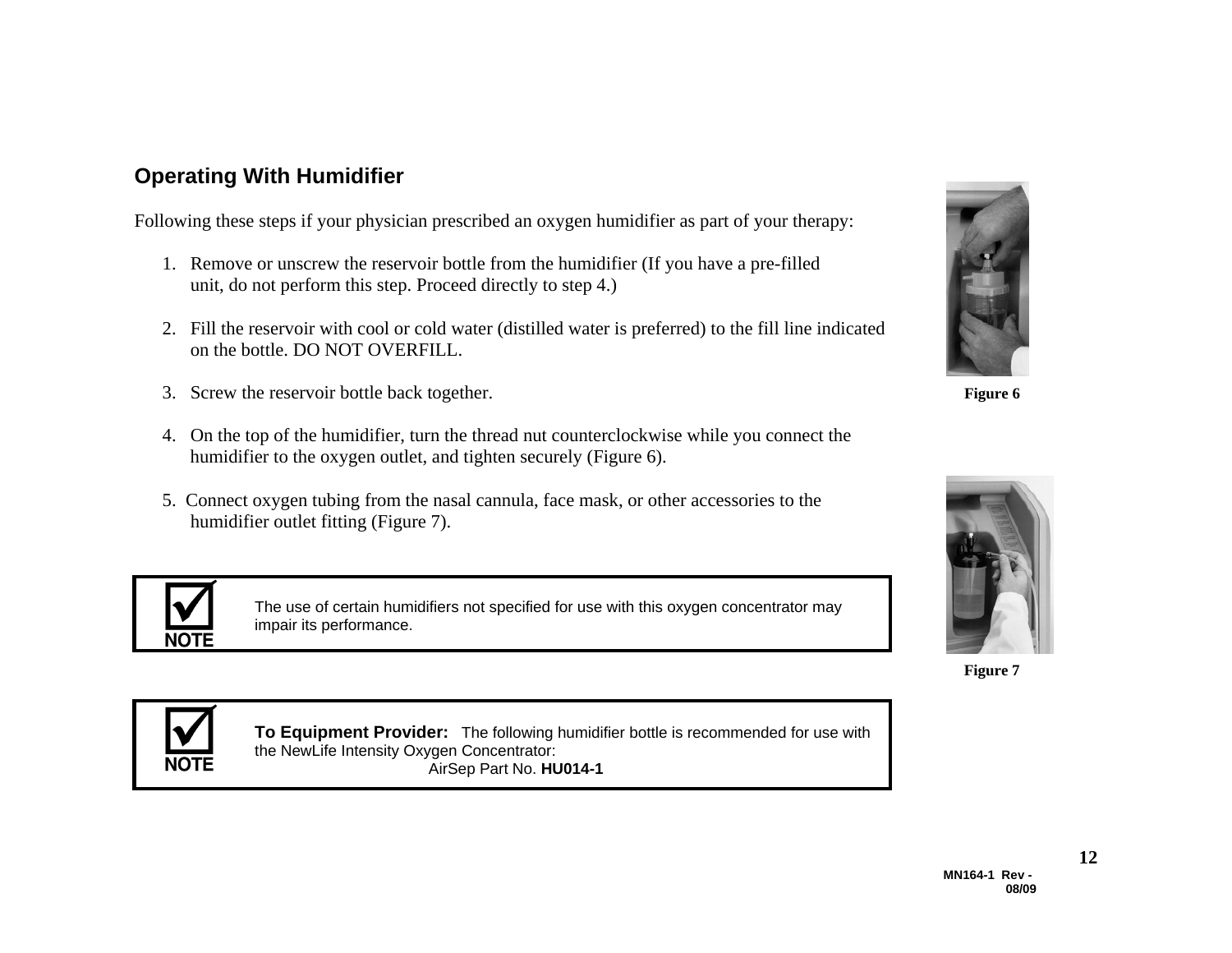## **Operating With Humidifier**

Following these steps if your physician prescribed an oxygen humidifier as part of your therapy:

- 1. Remove or unscrew the reservoir bottle from the humidifier (If you have a pre-filled unit, do not perform this step. Proceed directly to step 4.)
- 2. Fill the reservoir with cool or cold water (distilled water is preferred) to the fill line indicated on the bottle. DO NOT OVERFILL.
- 3. Screw the reservoir bottle back together. **Figure 6**
- 4. On the top of the humidifier, turn the thread nut counterclockwise while you connect the humidifier to the oxygen outlet, and tighten securely (Figure 6).
- 5. Connect oxygen tubing from the nasal cannula, face mask, or other accessories to the humidifier outlet fitting (Figure 7).



The use of certain humidifiers not specified for use with this oxygen concentrator may impair its performance.





**Figure 7** 



**To Equipment Provider:** The following humidifier bottle is recommended for use with the NewLife Intensity Oxygen Concentrator: AirSep Part No. **HU014-1**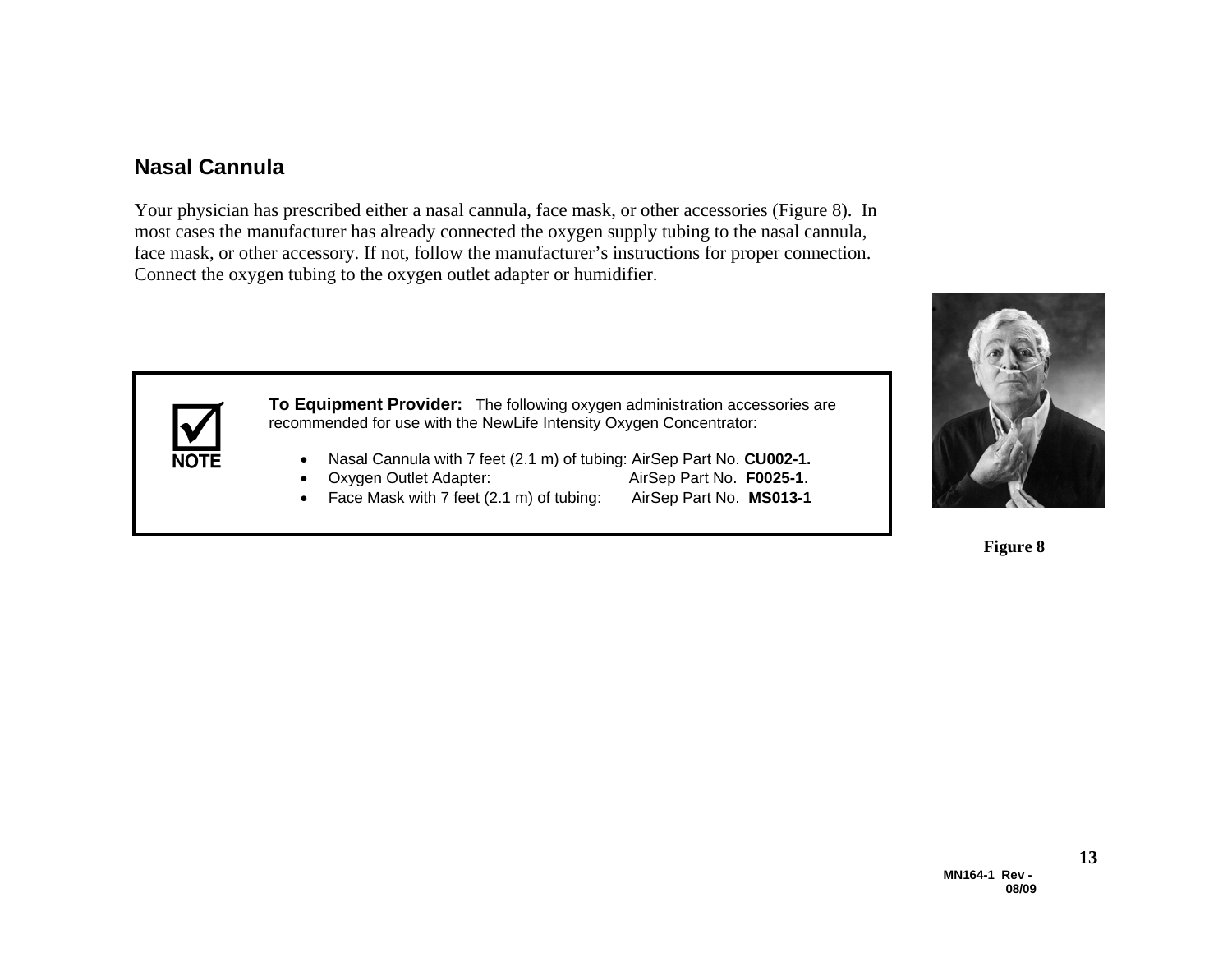#### **Nasal Cannula**

Your physician has prescribed either a nasal cannula, face mask, or other accessories (Figure 8). In most cases the manufacturer has already connected the oxygen supply tubing to the nasal cannula, face mask, or other accessory. If not, follow the manufacturer's instructions for proper connection. Connect the oxygen tubing to the oxygen outlet adapter or humidifier.



**To Equipment Provider:** The following oxygen administration accessories are recommended for use with the NewLife Intensity Oxygen Concentrator:

- Nasal Cannula with 7 feet (2.1 m) of tubing: AirSep Part No. **CU002-1.**
- Oxygen Outlet Adapter: AirSep Part No. **F0025-1**.
- Face Mask with 7 feet (2.1 m) of tubing: AirSep Part No. **MS013-1**



**Figure 8**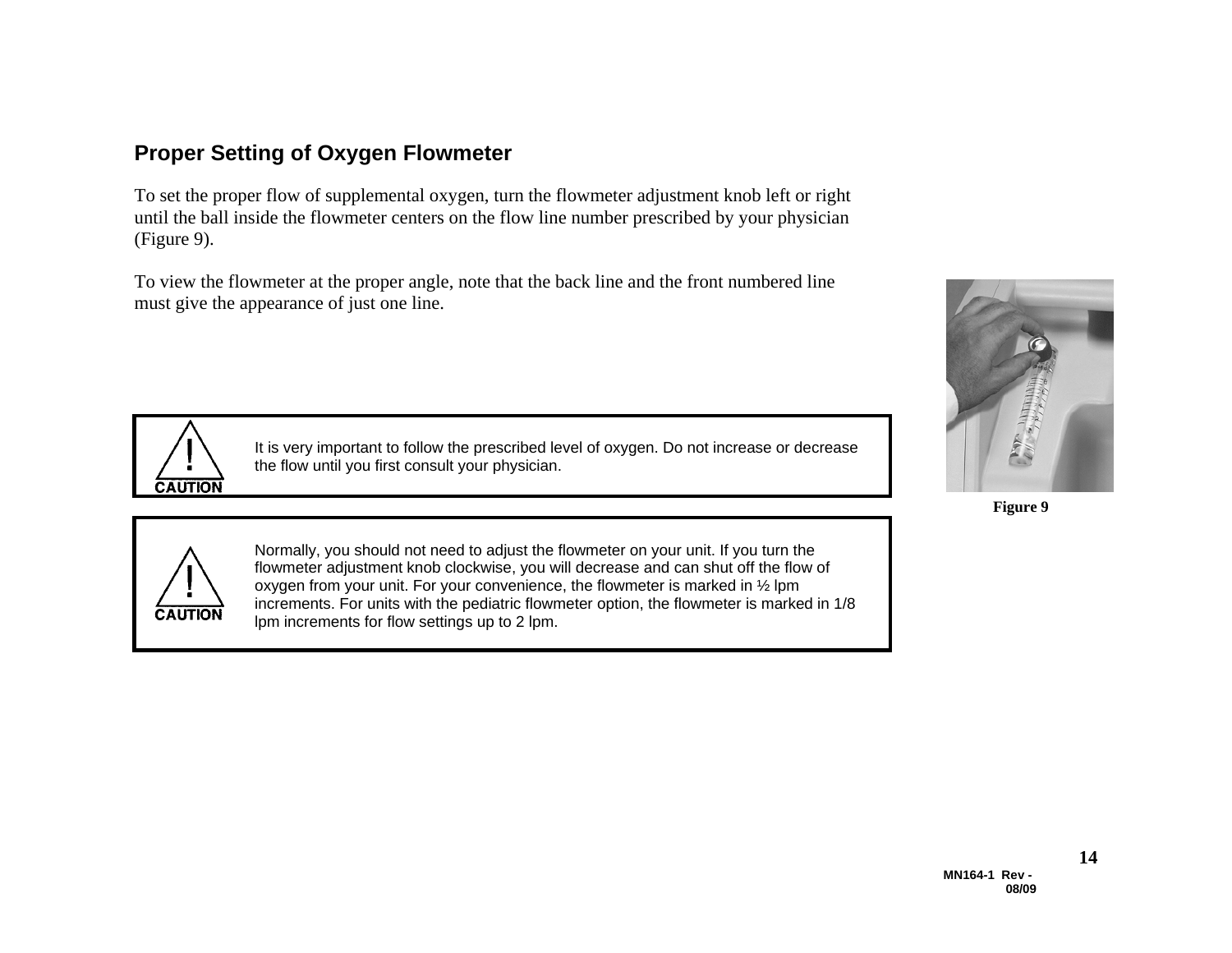#### **Proper Setting of Oxygen Flowmeter**

To set the proper flow of supplemental oxygen, turn the flowmeter adjustment knob left or right until the ball inside the flowmeter centers on the flow line number prescribed by your physician (Figure 9).

To view the flowmeter at the proper angle, note that the back line and the front numbered line must give the appearance of just one line.



It is very important to follow the prescribed level of oxygen. Do not increase or decrease the flow until you first consult your physician.



**Figure 9** 



Normally, you should not need to adjust the flowmeter on your unit. If you turn the flowmeter adjustment knob clockwise, you will decrease and can shut off the flow of oxygen from your unit. For your convenience, the flowmeter is marked in ½ lpm increments. For units with the pediatric flowmeter option, the flowmeter is marked in 1/8 lpm increments for flow settings up to 2 lpm.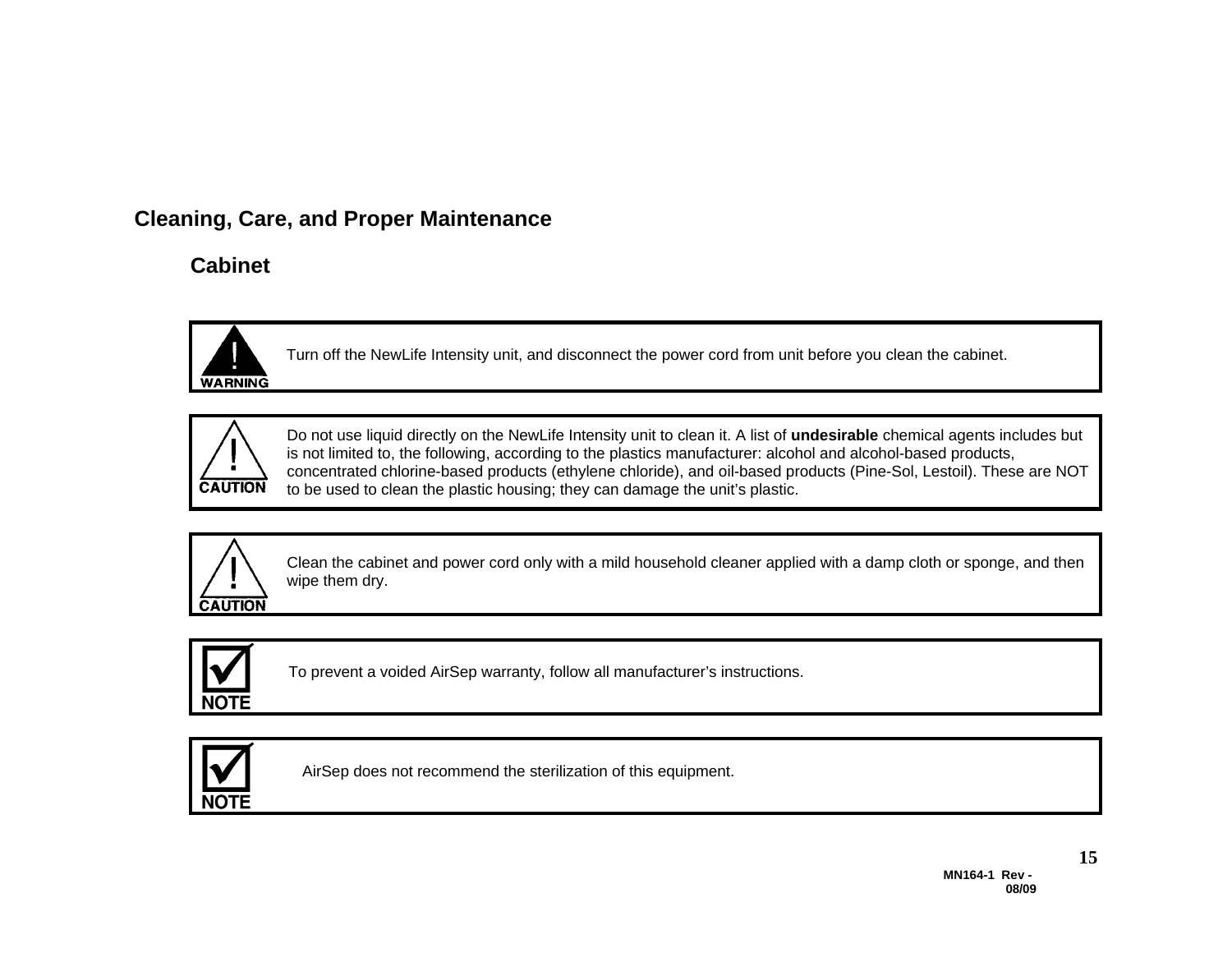## **Cleaning, Care, and Proper Maintenance**

## **Cabinet**



Turn off the NewLife Intensity unit, and disconnect the power cord from unit before you clean the cabinet.



Do not use liquid directly on the NewLife Intensity unit to clean it. A list of **undesirable** chemical agents includes but is not limited to, the following, according to the plastics manufacturer: alcohol and alcohol-based products, concentrated chlorine-based products (ethylene chloride), and oil-based products (Pine-Sol, Lestoil). These are NOT to be used to clean the plastic housing; they can damage the unit's plastic.



Clean the cabinet and power cord only with a mild household cleaner applied with a damp cloth or sponge, and then wipe them dry.



To prevent a voided AirSep warranty, follow all manufacturer's instructions.



AirSep does not recommend the sterilization of this equipment.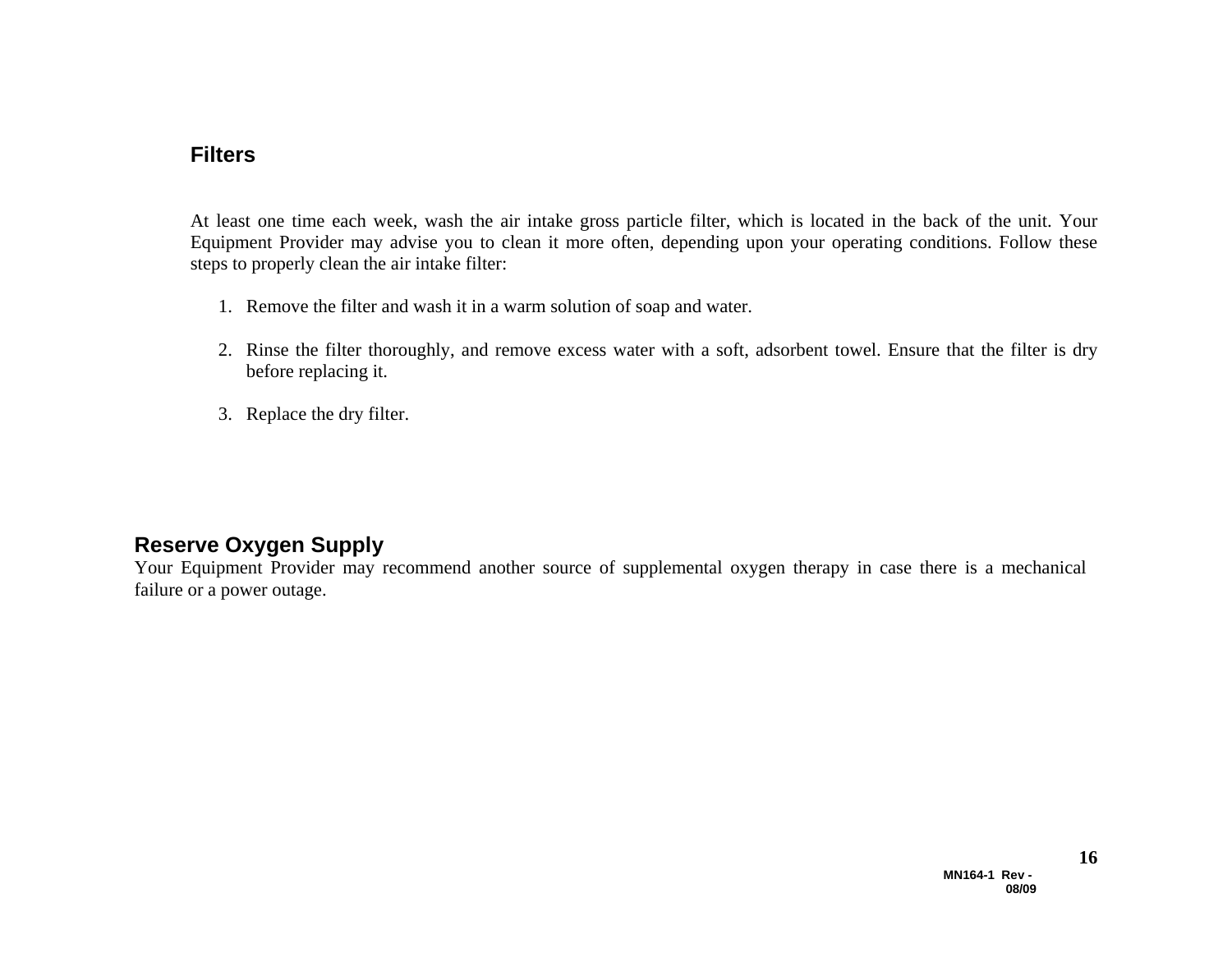#### **Filters**

At least one time each week, wash the air intake gross particle filter, which is located in the back of the unit. Your Equipment Provider may advise you to clean it more often, depending upon your operating conditions. Follow these steps to properly clean the air intake filter:

- 1. Remove the filter and wash it in a warm solution of soap and water.
- 2. Rinse the filter thoroughly, and remove excess water with a soft, adsorbent towel. Ensure that the filter is dry before replacing it.
- 3. Replace the dry filter.

#### **Reserve Oxygen Supply**

Your Equipment Provider may recommend another source of supplemental oxygen therapy in case there is a mechanical failure or a power outage.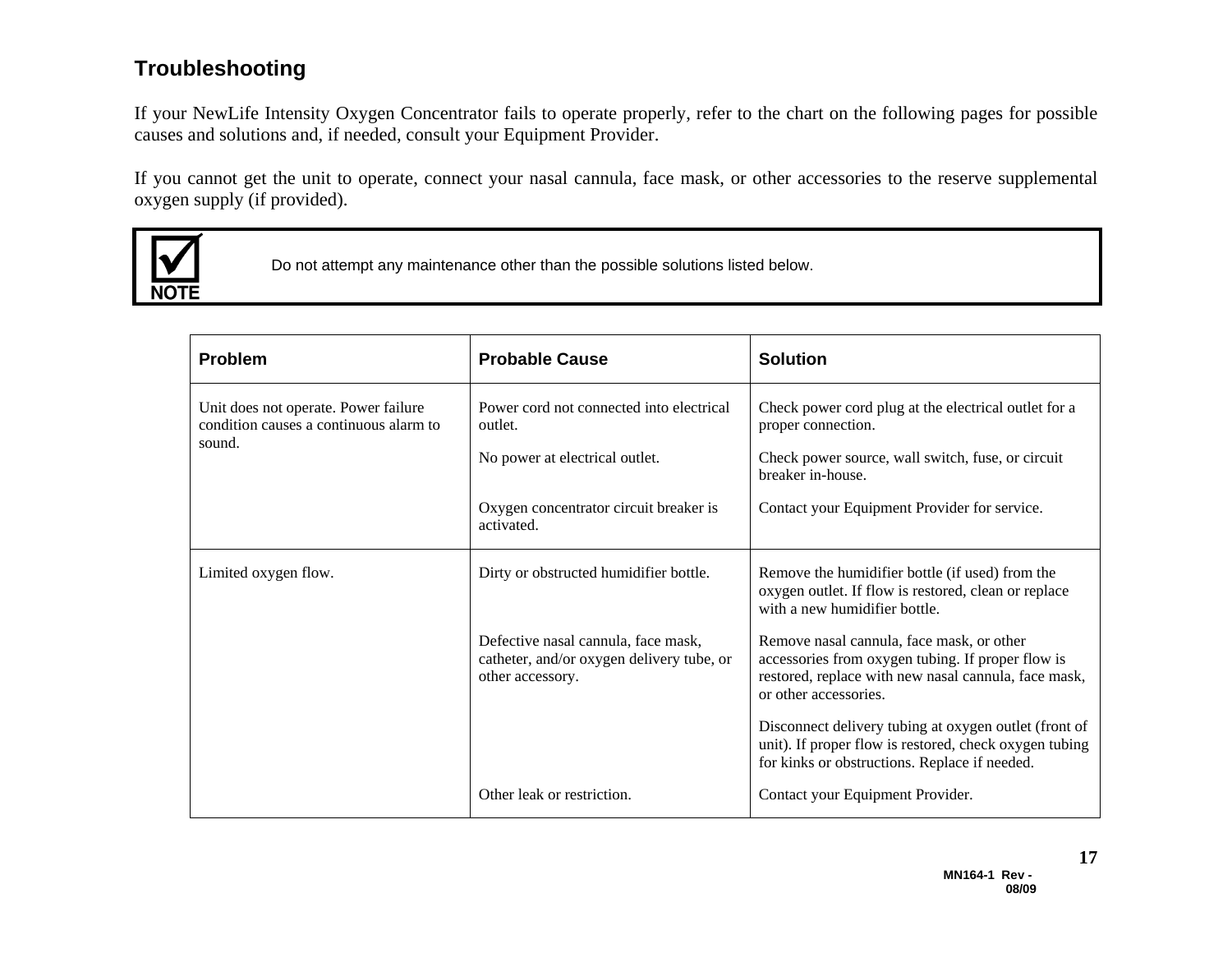#### **Troubleshooting**

If your NewLife Intensity Oxygen Concentrator fails to operate properly, refer to the chart on the following pages for possible causes and solutions and, if needed, consult your Equipment Provider.

If you cannot get the unit to operate, connect your nasal cannula, face mask, or other accessories to the reserve supplemental oxygen supply (if provided).



Do not attempt any maintenance other than the possible solutions listed below.

| <b>Problem</b>                                                                 | <b>Probable Cause</b>                                                                                | <b>Solution</b>                                                                                                                                                                 |
|--------------------------------------------------------------------------------|------------------------------------------------------------------------------------------------------|---------------------------------------------------------------------------------------------------------------------------------------------------------------------------------|
| Unit does not operate. Power failure<br>condition causes a continuous alarm to | Power cord not connected into electrical<br>outlet.                                                  | Check power cord plug at the electrical outlet for a<br>proper connection.                                                                                                      |
| sound.                                                                         | No power at electrical outlet.                                                                       | Check power source, wall switch, fuse, or circuit<br>breaker in-house.                                                                                                          |
|                                                                                | Oxygen concentrator circuit breaker is<br>activated.                                                 | Contact your Equipment Provider for service.                                                                                                                                    |
| Limited oxygen flow.                                                           | Dirty or obstructed humidifier bottle.                                                               | Remove the humidifier bottle (if used) from the<br>oxygen outlet. If flow is restored, clean or replace<br>with a new humidifier bottle.                                        |
|                                                                                | Defective nasal cannula, face mask,<br>catheter, and/or oxygen delivery tube, or<br>other accessory. | Remove nasal cannula, face mask, or other<br>accessories from oxygen tubing. If proper flow is<br>restored, replace with new nasal cannula, face mask,<br>or other accessories. |
|                                                                                |                                                                                                      | Disconnect delivery tubing at oxygen outlet (front of<br>unit). If proper flow is restored, check oxygen tubing<br>for kinks or obstructions. Replace if needed.                |
|                                                                                | Other leak or restriction.                                                                           | Contact your Equipment Provider.                                                                                                                                                |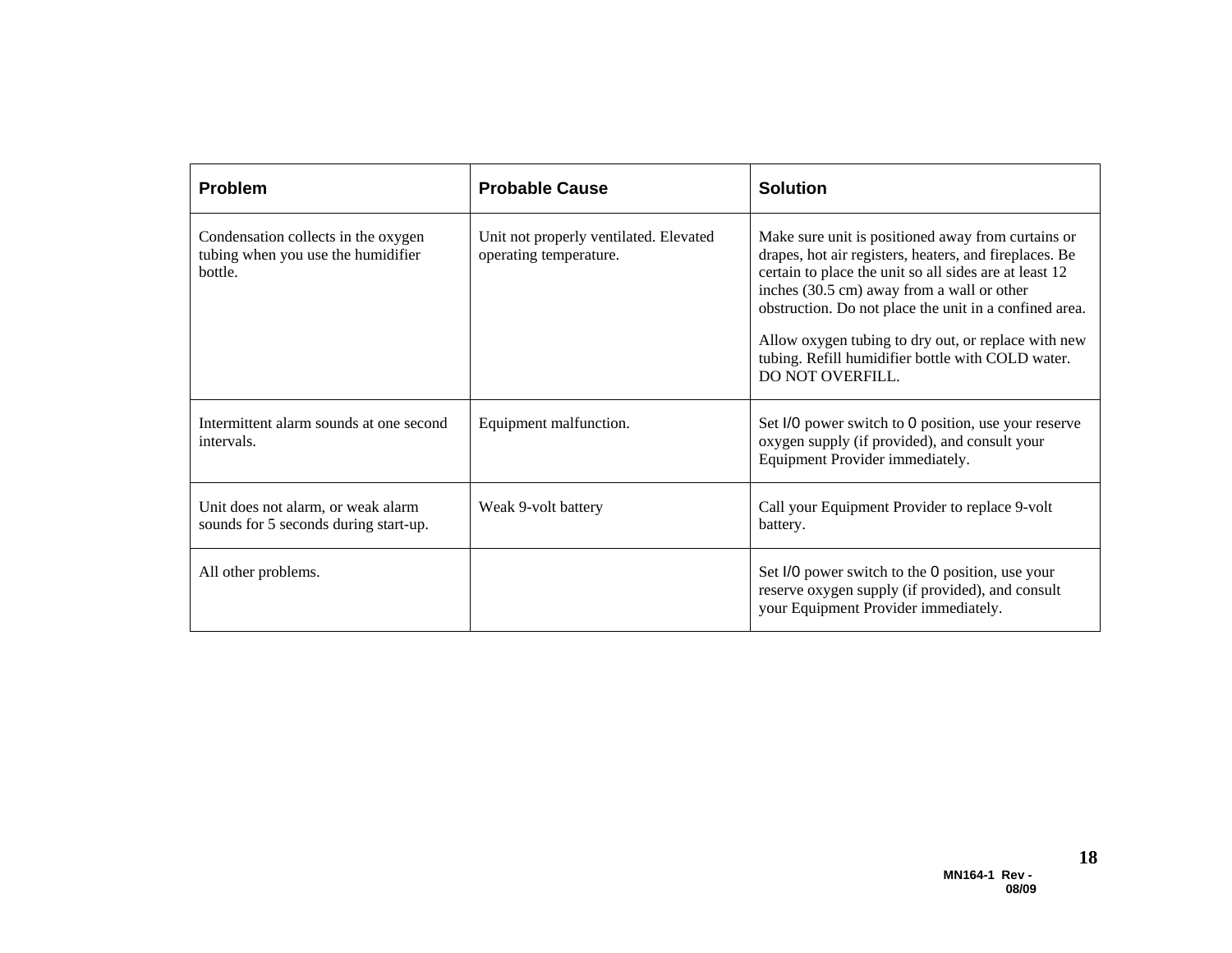| <b>Problem</b>                                                                       | <b>Probable Cause</b>                                            | <b>Solution</b>                                                                                                                                                                                                                                                                                                                                                                                                       |
|--------------------------------------------------------------------------------------|------------------------------------------------------------------|-----------------------------------------------------------------------------------------------------------------------------------------------------------------------------------------------------------------------------------------------------------------------------------------------------------------------------------------------------------------------------------------------------------------------|
| Condensation collects in the oxygen<br>tubing when you use the humidifier<br>bottle. | Unit not properly ventilated. Elevated<br>operating temperature. | Make sure unit is positioned away from curtains or<br>drapes, hot air registers, heaters, and fireplaces. Be<br>certain to place the unit so all sides are at least 12<br>inches (30.5 cm) away from a wall or other<br>obstruction. Do not place the unit in a confined area.<br>Allow oxygen tubing to dry out, or replace with new<br>tubing. Refill humidifier bottle with COLD water.<br><b>DO NOT OVERFILL.</b> |
| Intermittent alarm sounds at one second<br>intervals.                                | Equipment malfunction.                                           | Set I/0 power switch to 0 position, use your reserve<br>oxygen supply (if provided), and consult your<br>Equipment Provider immediately.                                                                                                                                                                                                                                                                              |
| Unit does not alarm, or weak alarm<br>sounds for 5 seconds during start-up.          | Weak 9-volt battery                                              | Call your Equipment Provider to replace 9-volt<br>battery.                                                                                                                                                                                                                                                                                                                                                            |
| All other problems.                                                                  |                                                                  | Set I/O power switch to the O position, use your<br>reserve oxygen supply (if provided), and consult<br>your Equipment Provider immediately.                                                                                                                                                                                                                                                                          |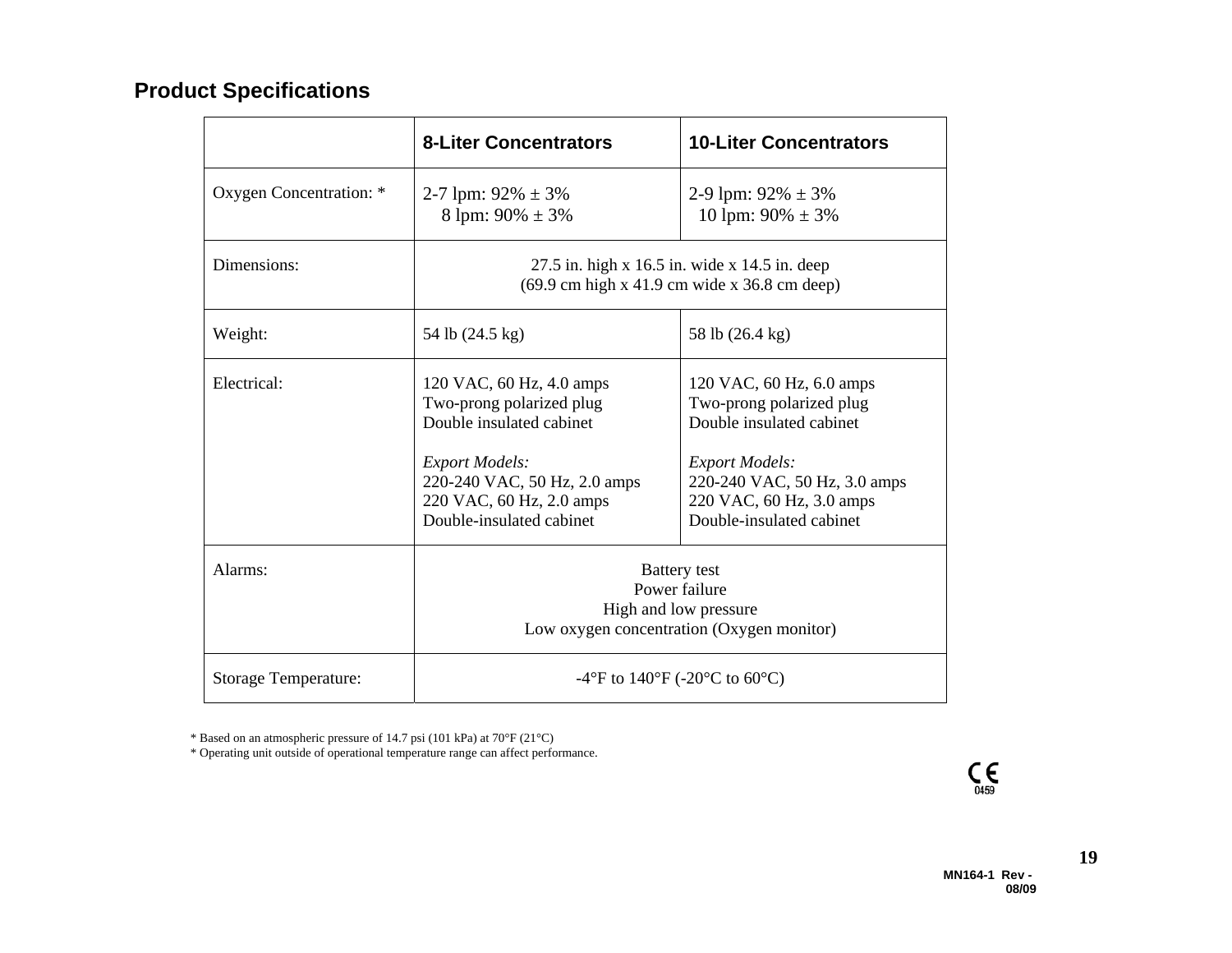## **Product Specifications**

|                             | <b>8-Liter Concentrators</b>                                                                                                                                                                      | <b>10-Liter Concentrators</b>                                                                                                                                                                     |
|-----------------------------|---------------------------------------------------------------------------------------------------------------------------------------------------------------------------------------------------|---------------------------------------------------------------------------------------------------------------------------------------------------------------------------------------------------|
| Oxygen Concentration: *     | 2-7 lpm: $92\% \pm 3\%$<br>8 lpm: $90\% \pm 3\%$                                                                                                                                                  | 2-9 lpm: $92\% \pm 3\%$<br>10 lpm: $90\% \pm 3\%$                                                                                                                                                 |
| Dimensions:                 | $27.5$ in. high x 16.5 in. wide x 14.5 in. deep<br>$(69.9 \text{ cm high x } 41.9 \text{ cm wide x } 36.8 \text{ cm deep})$                                                                       |                                                                                                                                                                                                   |
| Weight:                     | 54 lb (24.5 kg)                                                                                                                                                                                   | 58 lb (26.4 kg)                                                                                                                                                                                   |
| Electrical:                 | 120 VAC, 60 Hz, 4.0 amps<br>Two-prong polarized plug<br>Double insulated cabinet<br><b>Export Models:</b><br>220-240 VAC, 50 Hz, 2.0 amps<br>220 VAC, 60 Hz, 2.0 amps<br>Double-insulated cabinet | 120 VAC, 60 Hz, 6.0 amps<br>Two-prong polarized plug<br>Double insulated cabinet<br><b>Export Models:</b><br>220-240 VAC, 50 Hz, 3.0 amps<br>220 VAC, 60 Hz, 3.0 amps<br>Double-insulated cabinet |
| Alarms:                     | <b>Battery</b> test<br>Power failure<br>High and low pressure<br>Low oxygen concentration (Oxygen monitor)                                                                                        |                                                                                                                                                                                                   |
| <b>Storage Temperature:</b> | -4°F to 140°F (-20°C to 60°C)                                                                                                                                                                     |                                                                                                                                                                                                   |

\* Based on an atmospheric pressure of 14.7 psi (101 kPa) at 70°F (21°C)

\* Operating unit outside of operational temperature range can affect performance.



**19**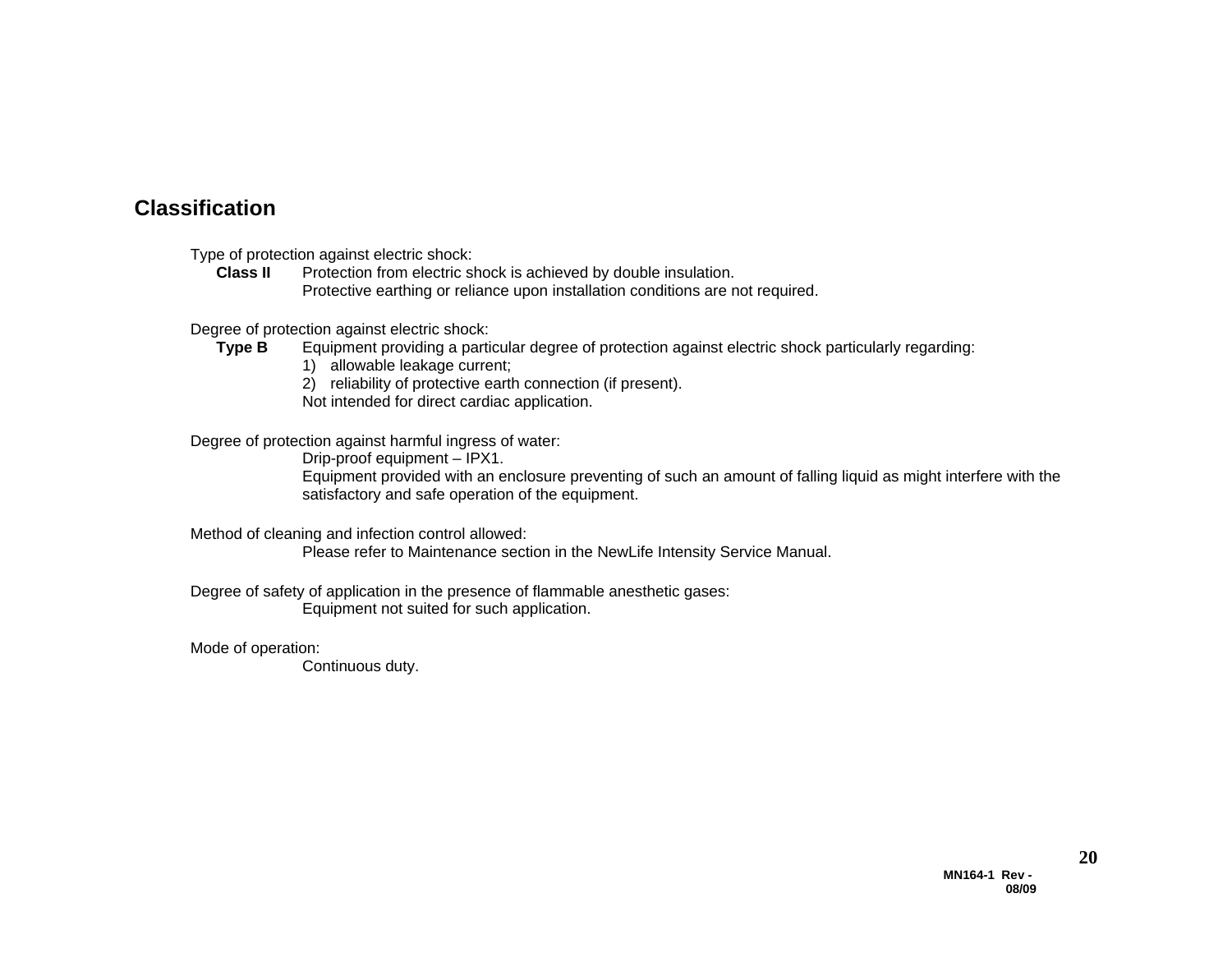#### **Classification**

Type of protection against electric shock:

**Class II** Protection from electric shock is achieved by double insulation. Protective earthing or reliance upon installation conditions are not required.

Degree of protection against electric shock:

- **Type B** Equipment providing a particular degree of protection against electric shock particularly regarding:
	- 1) allowable leakage current;
	- 2) reliability of protective earth connection (if present).
	- Not intended for direct cardiac application.

Degree of protection against harmful ingress of water:

Drip-proof equipment – IPX1.

Equipment provided with an enclosure preventing of such an amount of falling liquid as might interfere with the satisfactory and safe operation of the equipment.

Method of cleaning and infection control allowed:

Please refer to Maintenance section in the NewLife Intensity Service Manual.

Degree of safety of application in the presence of flammable anesthetic gases: Equipment not suited for such application.

Mode of operation:

Continuous duty.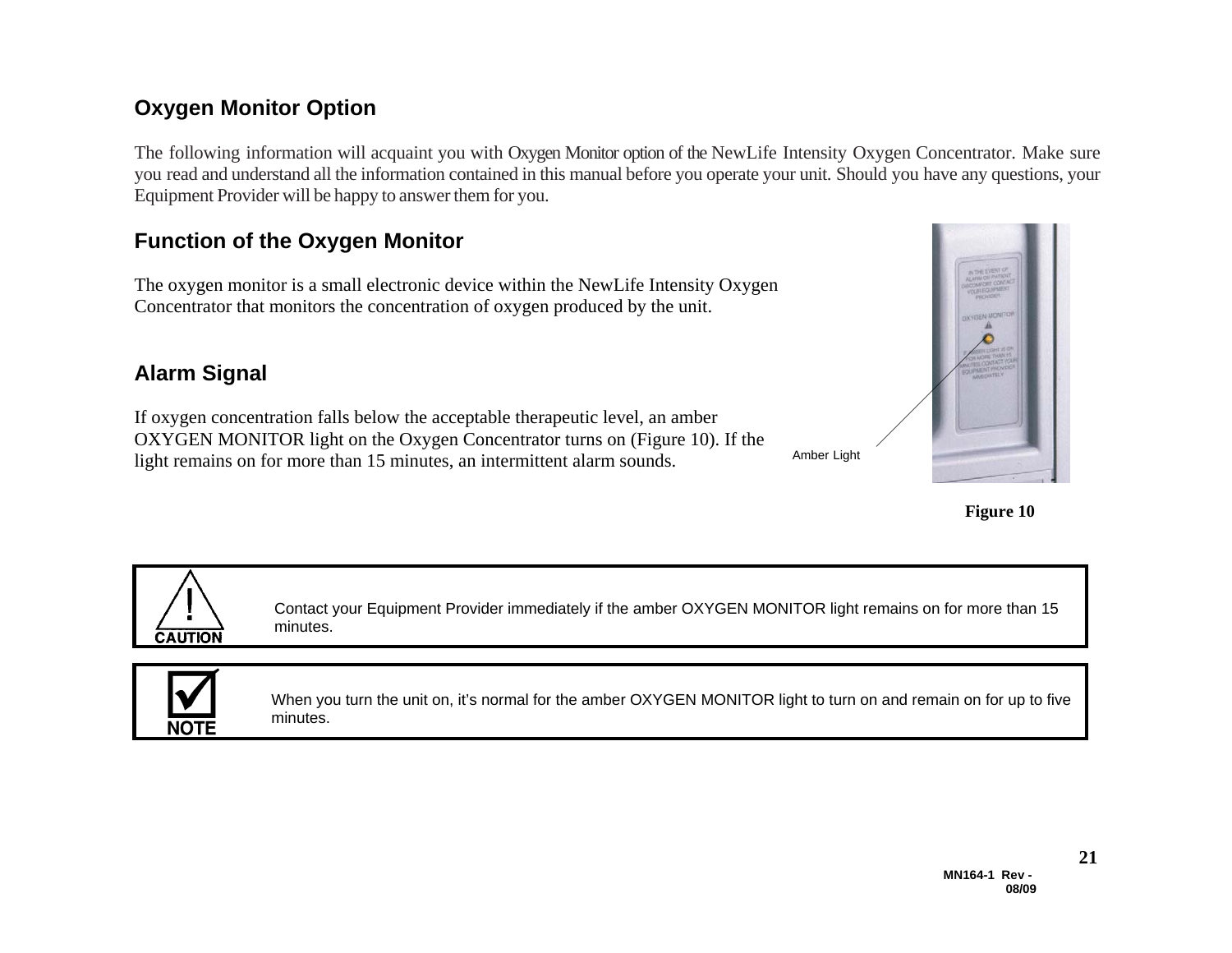### **Oxygen Monitor Option**

The following information will acquaint you with Oxygen Monitor option of the NewLife Intensity Oxygen Concentrator. Make sure you read and understand all the information contained in this manual before you operate your unit. Should you have any questions, your Equipment Provider will be happy to answer them for you.

## **Function of the Oxygen Monitor**

The oxygen monitor is a small electronic device within the NewLife Intensity Oxygen Concentrator that monitors the concentration of oxygen produced by the unit.

#### **Alarm Signal**

If oxygen concentration falls below the acceptable therapeutic level, an amber OXYGEN MONITOR light on the Oxygen Concentrator turns on (Figure 10). If the light remains on for more than 15 minutes, an intermittent alarm sounds.



Amber Light





Contact your Equipment Provider immediately if the amber OXYGEN MONITOR light remains on for more than 15 minutes.



When you turn the unit on, it's normal for the amber OXYGEN MONITOR light to turn on and remain on for up to five minutes.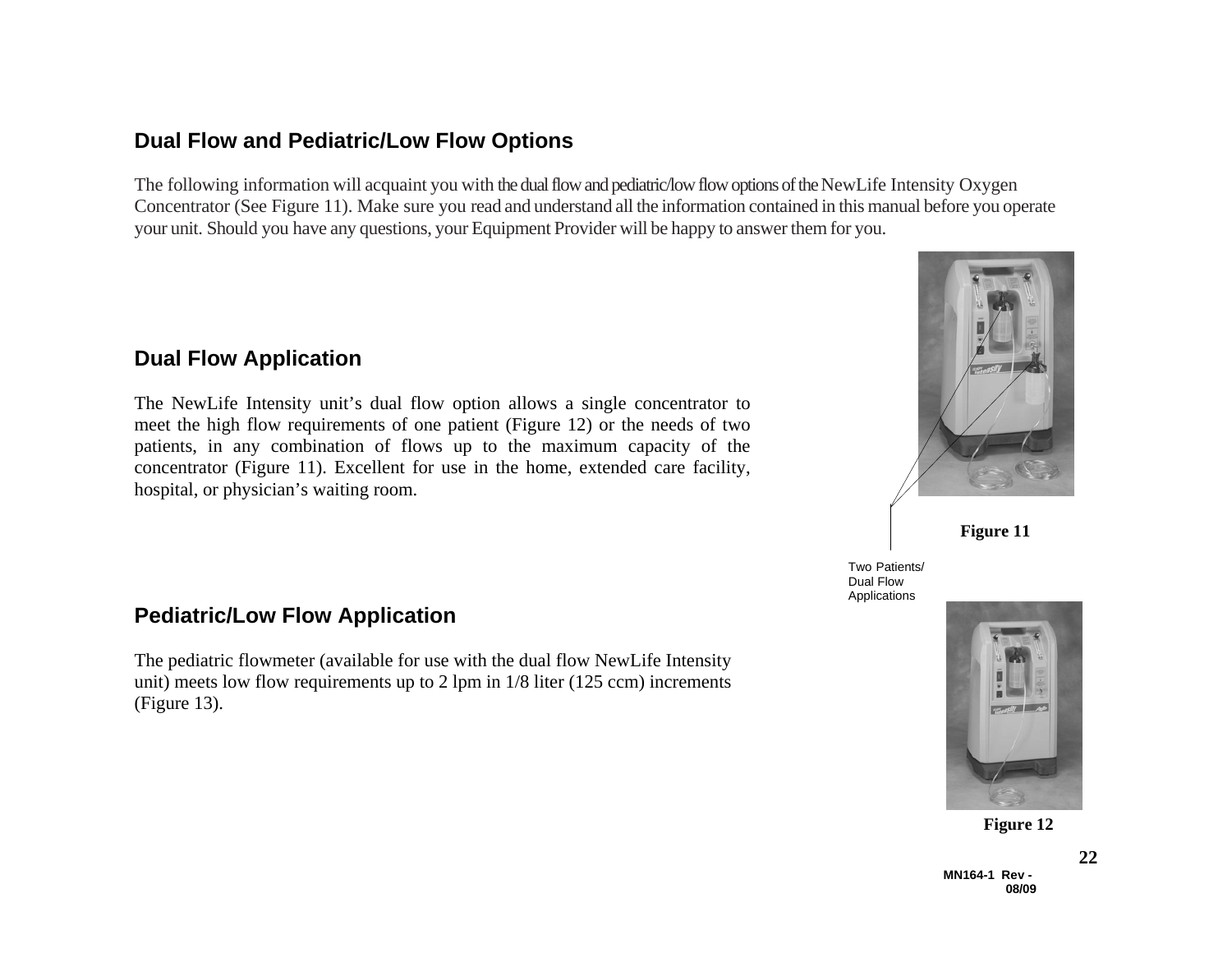#### **Dual Flow and Pediatric/Low Flow Options**

The following information will acquaint you with the dual flow and pediatric/low flow options of the NewLife Intensity Oxygen Concentrator (See Figure 11). Make sure you read and understand all the information contained in this manual before you operate your unit. Should you have any questions, your Equipment Provider will be happy to answer them for you.

#### **Dual Flow Application**

The NewLife Intensity unit's dual flow option allows a single concentrator to meet the high flow requirements of one patient (Figure 12) or the needs of two patients, in any combination of flows up to the maximum capacity of the concentrator (Figure 11). Excellent for use in the home, extended care facility, hospital, or physician's waiting room.

#### **Pediatric/Low Flow Application**

The pediatric flowmeter (available for use with the dual flow NewLife Intensity unit) meets low flow requirements up to 2 lpm in 1/8 liter (125 ccm) increments (Figure 13).



Two Patients/ Dual Flow Applications



**Figure 12**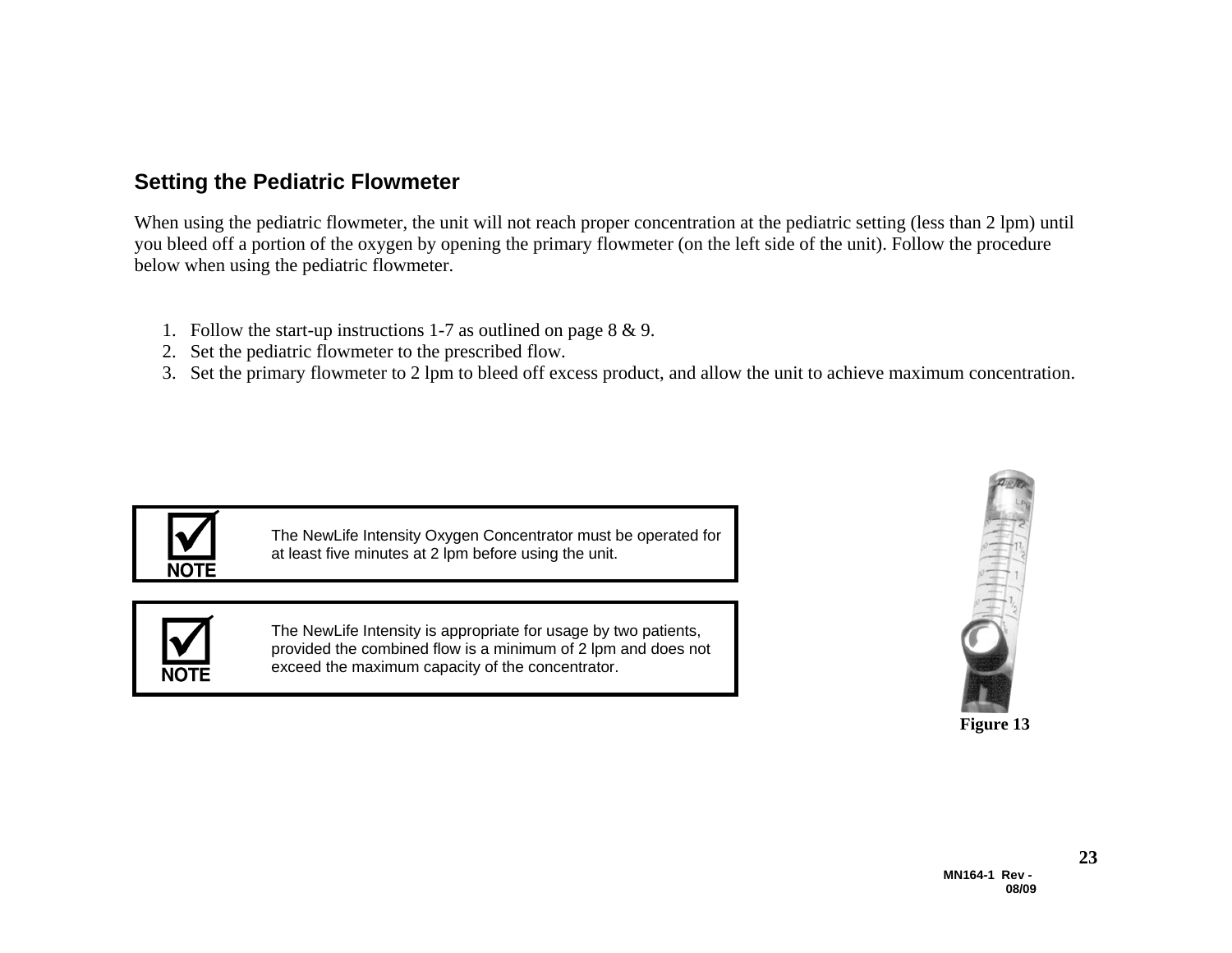#### **Setting the Pediatric Flowmeter**

When using the pediatric flowmeter, the unit will not reach proper concentration at the pediatric setting (less than 2 lpm) until you bleed off a portion of the oxygen by opening the primary flowmeter (on the left side of the unit). Follow the procedure below when using the pediatric flowmeter.

- 1. Follow the start-up instructions 1-7 as outlined on page  $8 \& 9$ .
- 2. Set the pediatric flowmeter to the prescribed flow.
- 3. Set the primary flowmeter to 2 lpm to bleed off excess product, and allow the unit to achieve maximum concentration.



The NewLife Intensity Oxygen Concentrator must be operated for at least five minutes at 2 lpm before using the unit.



The NewLife Intensity is appropriate for usage by two patients, provided the combined flow is a minimum of 2 lpm and does not exceed the maximum capacity of the concentrator.

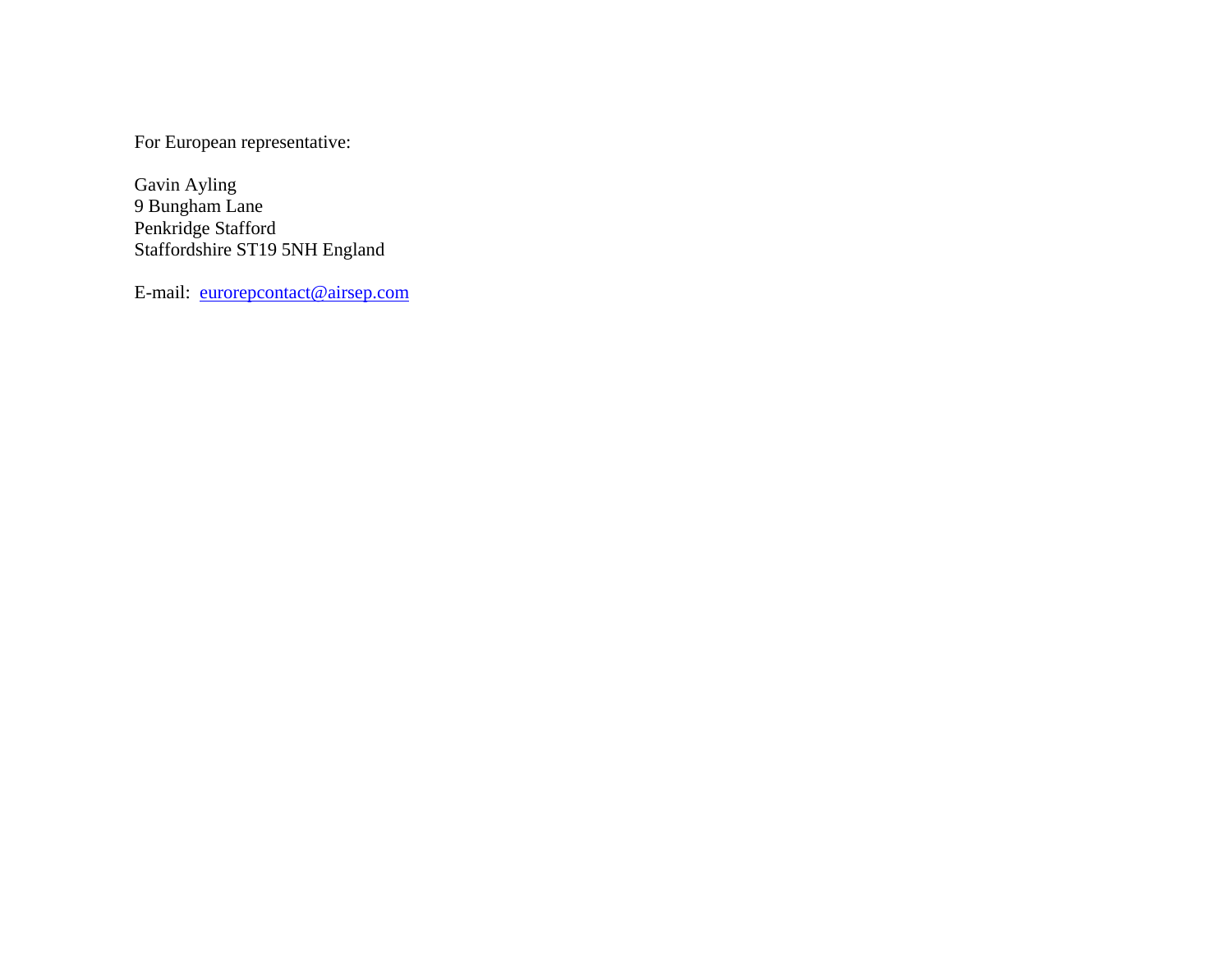For European representative:

Gavin Ayling 9 Bungham Lane Penkridge Stafford Staffordshire ST19 5NH England

E-mail: eurorepcontact@airsep.com